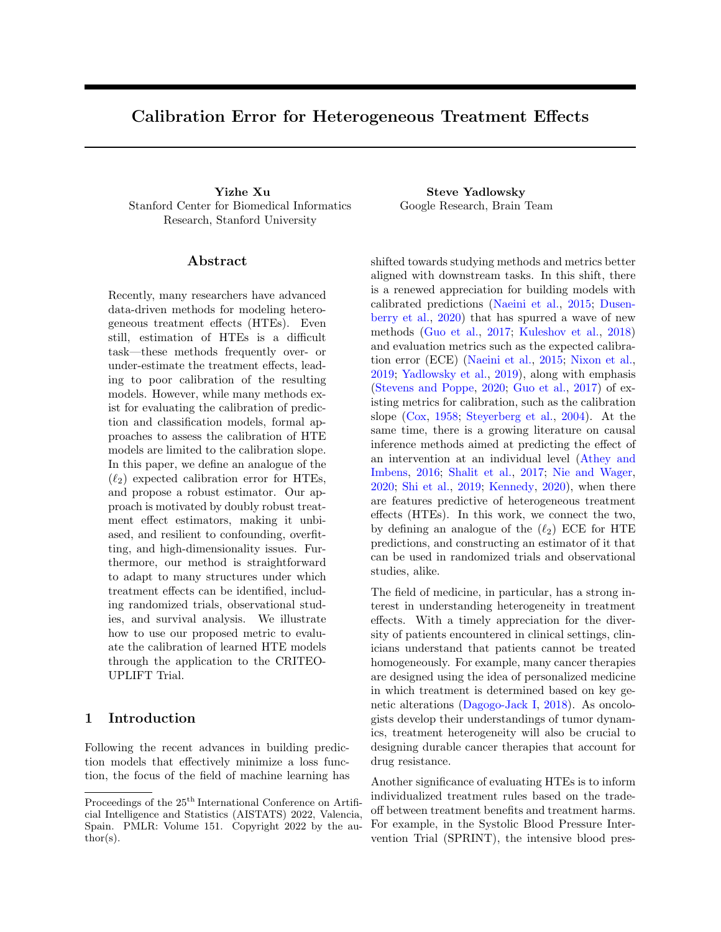# Calibration Error for Heterogeneous Treatment Effects

Yizhe Xu Steve Yadlowsky Stanford Center for Biomedical Informatics Research, Stanford University

### Abstract

Recently, many researchers have advanced data-driven methods for modeling heterogeneous treatment effects (HTEs). Even still, estimation of HTEs is a difficult task—these methods frequently over- or under-estimate the treatment effects, leading to poor calibration of the resulting models. However, while many methods exist for evaluating the calibration of prediction and classification models, formal approaches to assess the calibration of HTE models are limited to the calibration slope. In this paper, we define an analogue of the  $(\ell_2)$  expected calibration error for HTEs, and propose a robust estimator. Our approach is motivated by doubly robust treatment effect estimators, making it unbiased, and resilient to confounding, overfitting, and high-dimensionality issues. Furthermore, our method is straightforward to adapt to many structures under which treatment effects can be identified, including randomized trials, observational studies, and survival analysis. We illustrate how to use our proposed metric to evaluate the calibration of learned HTE models through the application to the CRITEO-UPLIFT Trial.

## 1 Introduction

Following the recent advances in building prediction models that effectively minimize a loss function, the focus of the field of machine learning has Google Research, Brain Team

shifted towards studying methods and metrics better aligned with downstream tasks. In this shift, there is a renewed appreciation for building models with calibrated predictions [\(Naeini et al.,](#page-9-0) [2015;](#page-9-0) [Dusen](#page-9-1)[berry et al.,](#page-9-1) [2020\)](#page-9-1) that has spurred a wave of new methods [\(Guo et al.,](#page-9-2) [2017;](#page-9-2) [Kuleshov et al.,](#page-9-3) [2018\)](#page-9-3) and evaluation metrics such as the expected calibration error (ECE) [\(Naeini et al.,](#page-9-0) [2015;](#page-9-0) [Nixon et al.,](#page-9-4) [2019;](#page-9-4) [Yadlowsky et al.,](#page-10-0) [2019\)](#page-10-0), along with emphasis [\(Stevens and Poppe,](#page-9-5) [2020;](#page-9-5) [Guo et al.,](#page-9-2) [2017\)](#page-9-2) of existing metrics for calibration, such as the calibration slope [\(Cox,](#page-9-6) [1958;](#page-9-6) [Steyerberg et al.,](#page-9-7) [2004\)](#page-9-7). At the same time, there is a growing literature on causal inference methods aimed at predicting the effect of an intervention at an individual level [\(Athey and](#page-8-0) [Imbens,](#page-8-0) [2016;](#page-8-0) [Shalit et al.,](#page-9-8) [2017;](#page-9-8) [Nie and Wager,](#page-9-9) [2020;](#page-9-9) [Shi et al.,](#page-9-10) [2019;](#page-9-10) [Kennedy,](#page-9-11) [2020\)](#page-9-11), when there are features predictive of heterogeneous treatment effects (HTEs). In this work, we connect the two, by defining an analogue of the  $(\ell_2)$  ECE for HTE predictions, and constructing an estimator of it that can be used in randomized trials and observational studies, alike.

The field of medicine, in particular, has a strong interest in understanding heterogeneity in treatment effects. With a timely appreciation for the diversity of patients encountered in clinical settings, clinicians understand that patients cannot be treated homogeneously. For example, many cancer therapies are designed using the idea of personalized medicine in which treatment is determined based on key genetic alterations [\(Dagogo-Jack I,](#page-9-12) [2018\)](#page-9-12). As oncologists develop their understandings of tumor dynamics, treatment heterogeneity will also be crucial to designing durable cancer therapies that account for drug resistance.

Another significance of evaluating HTEs is to inform individualized treatment rules based on the tradeoff between treatment benefits and treatment harms. For example, in the Systolic Blood Pressure Intervention Trial (SPRINT), the intensive blood pres-

Proceedings of the  $25<sup>th</sup>$  International Conference on Artificial Intelligence and Statistics (AISTATS) 2022, Valencia, Spain. PMLR: Volume 151. Copyright 2022 by the author(s).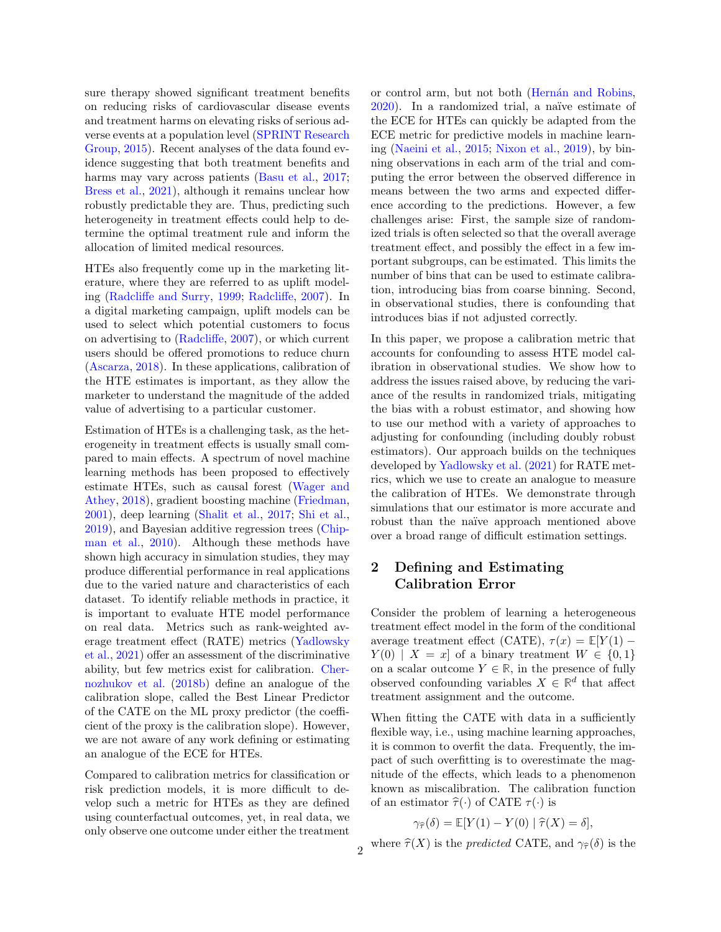sure therapy showed significant treatment benefits on reducing risks of cardiovascular disease events and treatment harms on elevating risks of serious adverse events at a population level [\(SPRINT Research](#page-9-13) [Group,](#page-9-13) [2015\)](#page-9-13). Recent analyses of the data found evidence suggesting that both treatment benefits and harms may vary across patients [\(Basu et al.,](#page-8-1) [2017;](#page-8-1) [Bress et al.,](#page-8-2) [2021\)](#page-8-2), although it remains unclear how robustly predictable they are. Thus, predicting such heterogeneity in treatment effects could help to determine the optimal treatment rule and inform the allocation of limited medical resources.

HTEs also frequently come up in the marketing literature, where they are referred to as uplift modeling [\(Radcliffe and Surry,](#page-9-14) [1999;](#page-9-14) [Radcliffe,](#page-9-15) [2007\)](#page-9-15). In a digital marketing campaign, uplift models can be used to select which potential customers to focus on advertising to [\(Radcliffe,](#page-9-15) [2007\)](#page-9-15), or which current users should be offered promotions to reduce churn [\(Ascarza,](#page-8-3) [2018\)](#page-8-3). In these applications, calibration of the HTE estimates is important, as they allow the marketer to understand the magnitude of the added value of advertising to a particular customer.

Estimation of HTEs is a challenging task, as the heterogeneity in treatment effects is usually small compared to main effects. A spectrum of novel machine learning methods has been proposed to effectively estimate HTEs, such as causal forest [\(Wager and](#page-9-16) [Athey,](#page-9-16) [2018\)](#page-9-16), gradient boosting machine [\(Friedman,](#page-9-17) [2001\)](#page-9-17), deep learning [\(Shalit et al.,](#page-9-8) [2017;](#page-9-8) [Shi et al.,](#page-9-10) [2019\)](#page-9-10), and Bayesian additive regression trees [\(Chip](#page-8-4)[man et al.,](#page-8-4) [2010\)](#page-8-4). Although these methods have shown high accuracy in simulation studies, they may produce differential performance in real applications due to the varied nature and characteristics of each dataset. To identify reliable methods in practice, it is important to evaluate HTE model performance on real data. Metrics such as rank-weighted average treatment effect (RATE) metrics [\(Yadlowsky](#page-10-1) [et al.,](#page-10-1) [2021\)](#page-10-1) offer an assessment of the discriminative ability, but few metrics exist for calibration. [Cher](#page-8-5)[nozhukov et al.](#page-8-5) [\(2018b\)](#page-8-5) define an analogue of the calibration slope, called the Best Linear Predictor of the CATE on the ML proxy predictor (the coefficient of the proxy is the calibration slope). However, we are not aware of any work defining or estimating an analogue of the ECE for HTEs.

Compared to calibration metrics for classification or risk prediction models, it is more difficult to develop such a metric for HTEs as they are defined using counterfactual outcomes, yet, in real data, we only observe one outcome under either the treatment

or control arm, but not both (Hernán and Robins, [2020\)](#page-9-18). In a randomized trial, a naïve estimate of the ECE for HTEs can quickly be adapted from the ECE metric for predictive models in machine learning [\(Naeini et al.,](#page-9-0) [2015;](#page-9-0) [Nixon et al.,](#page-9-4) [2019\)](#page-9-4), by binning observations in each arm of the trial and computing the error between the observed difference in means between the two arms and expected difference according to the predictions. However, a few challenges arise: First, the sample size of randomized trials is often selected so that the overall average treatment effect, and possibly the effect in a few important subgroups, can be estimated. This limits the number of bins that can be used to estimate calibration, introducing bias from coarse binning. Second, in observational studies, there is confounding that introduces bias if not adjusted correctly.

In this paper, we propose a calibration metric that accounts for confounding to assess HTE model calibration in observational studies. We show how to address the issues raised above, by reducing the variance of the results in randomized trials, mitigating the bias with a robust estimator, and showing how to use our method with a variety of approaches to adjusting for confounding (including doubly robust estimators). Our approach builds on the techniques developed by [Yadlowsky et al.](#page-10-1) [\(2021\)](#page-10-1) for RATE metrics, which we use to create an analogue to measure the calibration of HTEs. We demonstrate through simulations that our estimator is more accurate and robust than the na¨ıve approach mentioned above over a broad range of difficult estimation settings.

# 2 Defining and Estimating Calibration Error

Consider the problem of learning a heterogeneous treatment effect model in the form of the conditional average treatment effect (CATE),  $\tau(x) = \mathbb{E}[Y(1) Y(0) | X = x$  of a binary treatment  $W \in \{0,1\}$ on a scalar outcome  $Y \in \mathbb{R}$ , in the presence of fully observed confounding variables  $X \in \mathbb{R}^d$  that affect treatment assignment and the outcome.

When fitting the CATE with data in a sufficiently flexible way, i.e., using machine learning approaches, it is common to overfit the data. Frequently, the impact of such overfitting is to overestimate the magnitude of the effects, which leads to a phenomenon known as miscalibration. The calibration function of an estimator  $\hat{\tau}(\cdot)$  of CATE  $\tau(\cdot)$  is

$$
\gamma_{\widehat{\tau}}(\delta) = \mathbb{E}[Y(1) - Y(0) | \widehat{\tau}(X) = \delta],
$$

where  $\widehat{\tau}(X)$  is the *predicted* CATE, and  $\gamma_{\widehat{\tau}}(\delta)$  is the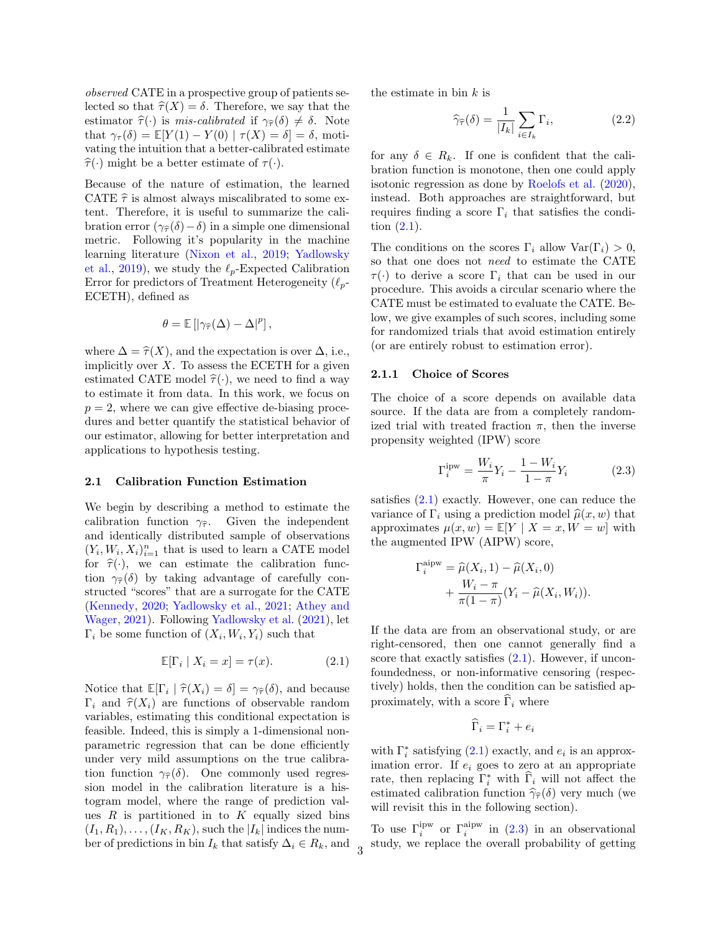observed CATE in a prospective group of patients selected so that  $\hat{\tau}(X) = \delta$ . Therefore, we say that the estimator  $\hat{\tau}(\cdot)$  is mis-calibrated if  $\gamma_{\hat{\tau}}(\delta) \neq \delta$ . Note that  $\gamma_{\tau}(\delta) = \mathbb{E}[Y(1) - Y(0) | \tau(X) = \delta] = \delta$ , motivating the intuition that a better-calibrated estimate  $\hat{\tau}(\cdot)$  might be a better estimate of  $\tau(\cdot)$ .

Because of the nature of estimation, the learned CATE  $\hat{\tau}$  is almost always miscalibrated to some extent. Therefore, it is useful to summarize the calibration error  $(\gamma_{\hat{\tau}}(\delta)-\delta)$  in a simple one dimensional metric. Following it's popularity in the machine learning literature [\(Nixon et al.,](#page-9-4) [2019;](#page-9-4) [Yadlowsky](#page-10-0) [et al.,](#page-10-0) [2019\)](#page-10-0), we study the  $\ell_p$ -Expected Calibration Error for predictors of Treatment Heterogeneity  $(\ell_p$ -ECETH), defined as

$$
\theta = \mathbb{E} \left[ \left| \gamma_{\widehat{\tau}}(\Delta) - \Delta \right|^p \right],
$$

where  $\Delta = \hat{\tau}(X)$ , and the expectation is over  $\Delta$ , i.e., implicitly over  $X$ . To assess the ECETH for a given estimated CATE model  $\hat{\tau}(\cdot)$ , we need to find a way to estimate it from data. In this work, we focus on  $p = 2$ , where we can give effective de-biasing procedures and better quantify the statistical behavior of our estimator, allowing for better interpretation and applications to hypothesis testing.

#### 2.1 Calibration Function Estimation

We begin by describing a method to estimate the calibration function  $\gamma_{\hat{\tau}}$ . Given the independent and identically distributed sample of observations  $(Y_i, W_i, X_i)_{i=1}^n$  that is used to learn a CATE model for  $\hat{\tau}(\cdot)$ , we can estimate the calibration function  $\gamma_{\hat{\tau}}(\delta)$  by taking advantage of carefully constructed "scores" that are a surrogate for the CATE [\(Kennedy,](#page-9-11) [2020;](#page-9-11) [Yadlowsky et al.,](#page-10-1) [2021;](#page-10-1) [Athey and](#page-8-6) [Wager,](#page-8-6) [2021\)](#page-8-6). Following [Yadlowsky et al.](#page-10-1) [\(2021\)](#page-10-1), let  $\Gamma_i$  be some function of  $(X_i, W_i, Y_i)$  such that

<span id="page-2-0"></span>
$$
\mathbb{E}[\Gamma_i \mid X_i = x] = \tau(x). \tag{2.1}
$$

Notice that  $\mathbb{E}[\Gamma_i \mid \hat{\tau}(X_i) = \delta] = \gamma_{\hat{\tau}}(\delta)$ , and because<br> $\Gamma_i$  and  $\hat{\tau}(X_i)$  are functions of observable random  $\Gamma_i$  and  $\hat{\tau}(X_i)$  are functions of observable random variables, estimating this conditional expectation is feasible. Indeed, this is simply a 1-dimensional nonparametric regression that can be done efficiently under very mild assumptions on the true calibration function  $\gamma_{\hat{\tau}}(\delta)$ . One commonly used regression model in the calibration literature is a histogram model, where the range of prediction values  $R$  is partitioned in to  $K$  equally sized bins  $(I_1, R_1), \ldots, (I_K, R_K)$ , such the  $|I_k|$  indices the number of predictions in bin  $I_k$  that satisfy  $\Delta_i \in R_k$ , and the estimate in bin  $k$  is

<span id="page-2-2"></span>
$$
\widehat{\gamma}_{\widehat{\tau}}(\delta) = \frac{1}{|I_k|} \sum_{i \in I_k} \Gamma_i,\tag{2.2}
$$

for any  $\delta \in R_k$ . If one is confident that the calibration function is monotone, then one could apply isotonic regression as done by [Roelofs et al.](#page-9-19) [\(2020\)](#page-9-19), instead. Both approaches are straightforward, but requires finding a score  $\Gamma_i$  that satisfies the condition [\(2.1\)](#page-2-0).

The conditions on the scores  $\Gamma_i$  allow  $\text{Var}(\Gamma_i) > 0$ , so that one does not need to estimate the CATE  $\tau(\cdot)$  to derive a score  $\Gamma_i$  that can be used in our procedure. This avoids a circular scenario where the CATE must be estimated to evaluate the CATE. Below, we give examples of such scores, including some for randomized trials that avoid estimation entirely (or are entirely robust to estimation error).

### <span id="page-2-3"></span>2.1.1 Choice of Scores

The choice of a score depends on available data source. If the data are from a completely randomized trial with treated fraction  $\pi$ , then the inverse propensity weighted (IPW) score

<span id="page-2-1"></span>
$$
\Gamma_i^{\text{ipw}} = \frac{W_i}{\pi} Y_i - \frac{1 - W_i}{1 - \pi} Y_i \tag{2.3}
$$

satisfies [\(2.1\)](#page-2-0) exactly. However, one can reduce the variance of  $\Gamma_i$  using a prediction model  $\widehat{\mu}(x, w)$  that approximates  $\mu(x, w) = \mathbb{E}[Y | X = x, W = w]$  with the augmented IPW (AIPW) score,

$$
\Gamma_i^{\text{aipw}} = \widehat{\mu}(X_i, 1) - \widehat{\mu}(X_i, 0)
$$

$$
+ \frac{W_i - \pi}{\pi(1 - \pi)} (Y_i - \widehat{\mu}(X_i, W_i)).
$$

If the data are from an observational study, or are right-censored, then one cannot generally find a score that exactly satisfies [\(2.1\)](#page-2-0). However, if unconfoundedness, or non-informative censoring (respectively) holds, then the condition can be satisfied approximately, with a score  $\widehat{\Gamma}_i$  where

$$
\widehat{\Gamma}_i = \Gamma_i^* + e_i
$$

with  $\Gamma_i^*$  satisfying [\(2.1\)](#page-2-0) exactly, and  $e_i$  is an approximation error. If  $e_i$  goes to zero at an appropriate rate, then replacing  $\Gamma_i^*$  with  $\widehat{\Gamma}_i$  will not affect the estimated calibration function  $\hat{\gamma}_{\hat{\tau}}(\delta)$  very much (we will revisit this in the following section).

To use  $\Gamma_i^{\text{ipw}}$  or  $\Gamma_i^{\text{aipw}}$  in [\(2.3\)](#page-2-1) in an observational study, we replace the overall probability of getting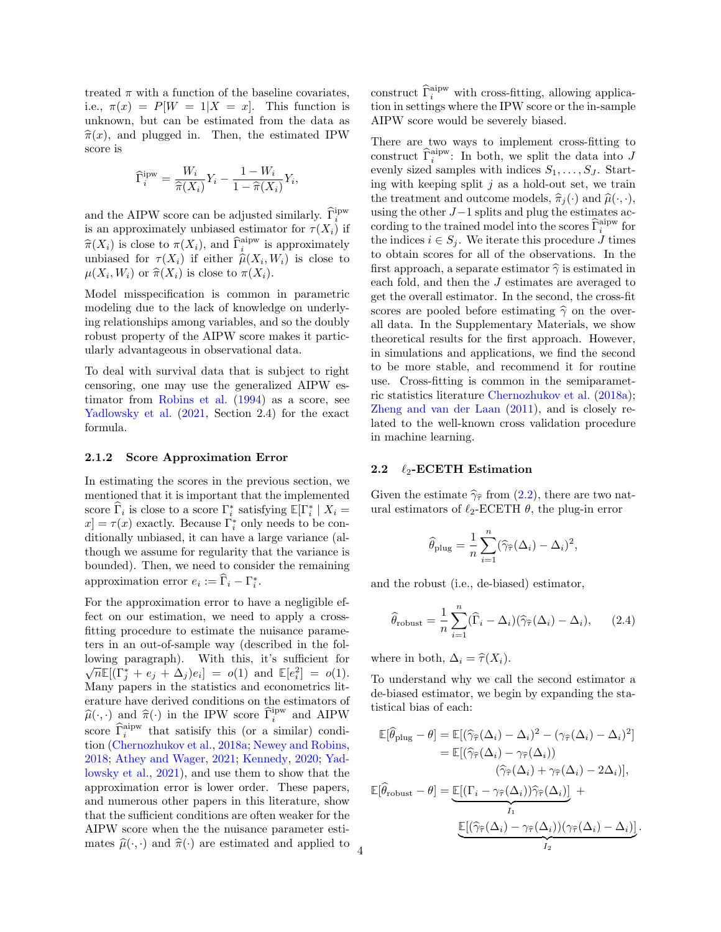treated  $\pi$  with a function of the baseline covariates, i.e.,  $\pi(x) = P[W = 1 | X = x]$ . This function is unknown, but can be estimated from the data as  $\hat{\pi}(x)$ , and plugged in. Then, the estimated IPW score is

$$
\widehat{\Gamma}_i^{\text{ipw}} = \frac{W_i}{\widehat{\pi}(X_i)} Y_i - \frac{1 - W_i}{1 - \widehat{\pi}(X_i)} Y_i,
$$

and the AIPW score can be adjusted similarly.  $\widehat{\Gamma}^{\text{ipw}}_i$ is an approximately unbiased estimator for  $\tau(X_i)$  if  $\hat{\pi}(X_i)$  is close to  $\pi(X_i)$ , and  $\hat{\Gamma}_i^{\text{aipw}}$  is approximately<br>unbiased for  $\pi(X_i)$  if either  $\hat{\mu}(X_i, W_i)$  is close to unbiased for  $\tau(X_i)$  if either  $\hat{\mu}(X_i, W_i)$  is close to  $\mu(Y, W_i)$  or  $\hat{\pi}(Y_i)$  is close to  $\tau(Y_i)$  $\mu(X_i, W_i)$  or  $\widehat{\pi}(X_i)$  is close to  $\pi(X_i)$ .

Model misspecification is common in parametric modeling due to the lack of knowledge on underlying relationships among variables, and so the doubly robust property of the AIPW score makes it particularly advantageous in observational data.

To deal with survival data that is subject to right censoring, one may use the generalized AIPW estimator from [Robins et al.](#page-9-20) [\(1994\)](#page-9-20) as a score, see [Yadlowsky et al.](#page-10-1) [\(2021,](#page-10-1) Section 2.4) for the exact formula.

### <span id="page-3-0"></span>2.1.2 Score Approximation Error

In estimating the scores in the previous section, we mentioned that it is important that the implemented score  $\widehat{\Gamma}_i$  is close to a score  $\Gamma_i^*$  satisfying  $\mathbb{E}[\Gamma_i^* | X_i =$  $x$  =  $\tau(x)$  exactly. Because  $\Gamma_i^*$  only needs to be conditionally unbiased, it can have a large variance (although we assume for regularity that the variance is bounded). Then, we need to consider the remaining approximation error  $e_i := \widehat{\Gamma}_i - \Gamma_i^*$ .

For the approximation error to have a negligible effect on our estimation, we need to apply a crossfitting procedure to estimate the nuisance parameters in an out-of-sample way (described in the following paragraph). With this, it's sufficient for  $\overline{n}\mathbb{E}[(\Gamma_j^* + e_j + \Delta_j)e_i] = o(1)$  and  $\mathbb{E}[e_i^2] = o(1)$ . Many papers in the statistics and econometrics literature have derived conditions on the estimators of  $\hat{\mu}(\cdot, \cdot)$  and  $\hat{\pi}(\cdot)$  in the IPW score  $\hat{\Gamma}_i^{\text{ipw}}$  and AIPW score  $\widehat{\Gamma}_i^{\text{aipw}}$  that satisify this (or a similar) condition [\(Chernozhukov et al.,](#page-8-7) [2018a;](#page-8-7) [Newey and Robins,](#page-9-21) [2018;](#page-9-21) [Athey and Wager,](#page-8-6) [2021;](#page-8-6) [Kennedy,](#page-9-11) [2020;](#page-9-11) [Yad](#page-10-1)[lowsky et al.,](#page-10-1) [2021\)](#page-10-1), and use them to show that the approximation error is lower order. These papers, and numerous other papers in this literature, show that the sufficient conditions are often weaker for the AIPW score when the the nuisance parameter estimates  $\widehat{\mu}(\cdot, \cdot)$  and  $\widehat{\pi}(\cdot)$  are estimated and applied to

construct  $\widehat{\Gamma}_i^{\text{aipw}}$  with cross-fitting, allowing application in settings where the IPW score or the in-sample AIPW score would be severely biased.

There are two ways to implement cross-fitting to construct  $\widehat{\Gamma}_i^{\text{aipw}}$ : In both, we split the data into J evenly sized samples with indices  $S_1, \ldots, S_J$ . Starting with keeping split  $j$  as a hold-out set, we train the treatment and outcome models,  $\hat{\pi}_i(\cdot)$  and  $\hat{\mu}(\cdot, \cdot)$ , using the other J−1 splits and plug the estimates according to the trained model into the scores  $\hat{\Gamma}_i^{\text{aipw}}$  for the indices  $i \in S_j$ . We iterate this procedure J times to obtain scores for all of the observations. In the first approach, a separate estimator  $\hat{\gamma}$  is estimated in each fold, and then the J estimates are averaged to get the overall estimator. In the second, the cross-fit scores are pooled before estimating  $\hat{\gamma}$  on the overall data. In the Supplementary Materials, we show theoretical results for the first approach. However, in simulations and applications, we find the second to be more stable, and recommend it for routine use. Cross-fitting is common in the semiparametric statistics literature [Chernozhukov et al.](#page-8-7) [\(2018a\)](#page-8-7); [Zheng and van der Laan](#page-10-2) [\(2011\)](#page-10-2), and is closely related to the well-known cross validation procedure in machine learning.

#### 2.2  $\ell_2$ -ECETH Estimation

Given the estimate  $\hat{\gamma}_{\hat{\tau}}$  from [\(2.2\)](#page-2-2), there are two natural estimators of  $\ell_2$ -ECETH  $\theta$ , the plug-in error

$$
\widehat{\theta}_{\text{plug}} = \frac{1}{n} \sum_{i=1}^{n} (\widehat{\gamma}_{\widehat{\tau}}(\Delta_i) - \Delta_i)^2,
$$

and the robust (i.e., de-biased) estimator,

$$
\widehat{\theta}_{\text{robust}} = \frac{1}{n} \sum_{i=1}^{n} (\widehat{\Gamma}_i - \Delta_i)(\widehat{\gamma}_{\widehat{\tau}}(\Delta_i) - \Delta_i), \qquad (2.4)
$$

where in both,  $\Delta_i = \hat{\tau}(X_i)$ .

4

To understand why we call the second estimator a de-biased estimator, we begin by expanding the statistical bias of each:

$$
\mathbb{E}[\widehat{\theta}_{\text{plug}} - \theta] = \mathbb{E}[(\widehat{\gamma}_{\widehat{\tau}}(\Delta_i) - \Delta_i)^2 - (\gamma_{\widehat{\tau}}(\Delta_i) - \Delta_i)^2]
$$
  
\n
$$
= \mathbb{E}[(\widehat{\gamma}_{\widehat{\tau}}(\Delta_i) - \gamma_{\widehat{\tau}}(\Delta_i))
$$
  
\n
$$
(\widehat{\gamma}_{\widehat{\tau}}(\Delta_i) + \gamma_{\widehat{\tau}}(\Delta_i) - 2\Delta_i)],
$$
  
\n
$$
\mathbb{E}[\widehat{\theta}_{\text{robust}} - \theta] = \underbrace{\mathbb{E}[(\Gamma_i - \gamma_{\widehat{\tau}}(\Delta_i))\widehat{\gamma}_{\widehat{\tau}}(\Delta_i)]}_{I_1} +
$$
  
\n
$$
\underbrace{\mathbb{E}[(\widehat{\gamma}_{\widehat{\tau}}(\Delta_i) - \gamma_{\widehat{\tau}}(\Delta_i))(\gamma_{\widehat{\tau}}(\Delta_i) - \Delta_i)]}_{I_2}
$$

.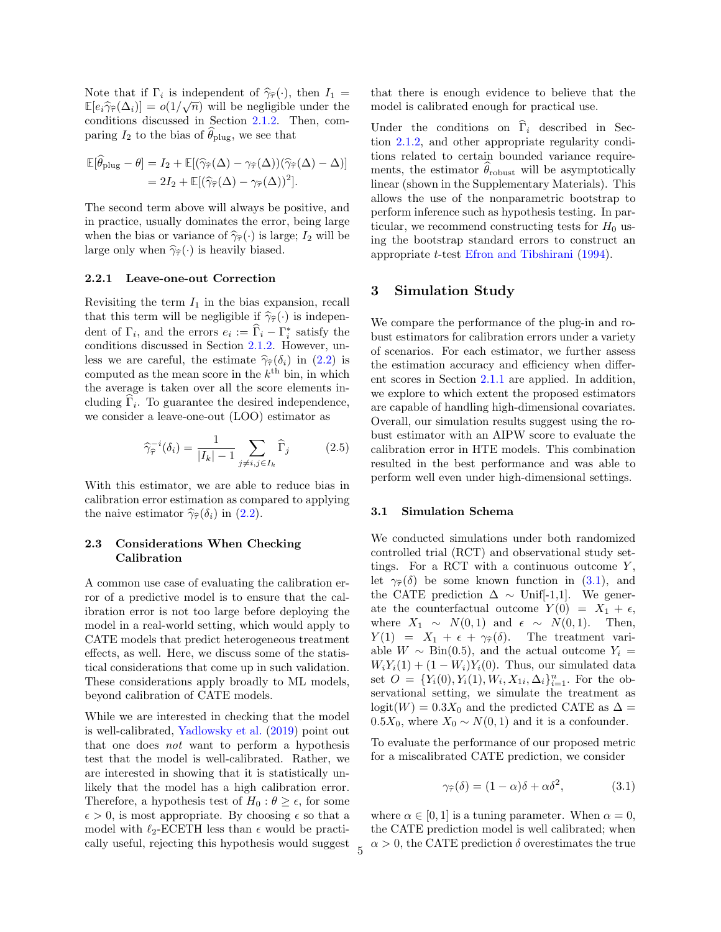Note that if  $\Gamma_i$  is independent of  $\hat{\gamma}_{\hat{\tau}}(\cdot)$ , then  $I_1 = \mathbb{E}[e_i \hat{\gamma}_{\hat{\tau}}(\Lambda_i)] = o(1/\sqrt{n})$  will be postligible under the  $\mathbb{E}[e_i\hat{\gamma}_{\hat{\tau}}(\Delta_i)] = o(1/\sqrt{n})$  will be negligible under the conditions discussed in Section 2.1.2. Then comconditions discussed in Section [2.1.2.](#page-3-0) Then, comparing  $I_2$  to the bias of  $\widehat{\theta}_{\text{plug}}$ , we see that

$$
\mathbb{E}[\hat{\theta}_{\text{plug}} - \theta] = I_2 + \mathbb{E}[(\hat{\gamma}_{\hat{\tau}}(\Delta) - \gamma_{\hat{\tau}}(\Delta))(\hat{\gamma}_{\hat{\tau}}(\Delta) - \Delta)]
$$
  
= 2I\_2 + \mathbb{E}[(\hat{\gamma}\_{\hat{\tau}}(\Delta) - \gamma\_{\hat{\tau}}(\Delta))^2].

The second term above will always be positive, and in practice, usually dominates the error, being large when the bias or variance of  $\hat{\gamma}_{\hat{\tau}}(\cdot)$  is large;  $I_2$  will be large only when  $\hat{\gamma}_{\hat{\tau}}(\cdot)$  is heavily biased.

#### 2.2.1 Leave-one-out Correction

Revisiting the term  $I_1$  in the bias expansion, recall that this term will be negligible if  $\hat{\gamma}_{\hat{\tau}}(\cdot)$  is independent of  $\Gamma_i$ , and the errors  $e_i := \widehat{\Gamma}_i - \Gamma_i^*$  satisfy the conditions discussed in Section [2.1.2.](#page-3-0) However, unless we are careful, the estimate  $\hat{\gamma}_{\hat{\tau}}(\delta_i)$  in [\(2.2\)](#page-2-2) is computed as the mean score in the  $k^{\text{th}}$  bin, in which the average is taken over all the score elements including  $\Gamma_i$ . To guarantee the desired independence, we consider a leave-one-out (LOO) estimator as

$$
\widehat{\gamma}_{\widehat{\tau}}^{-i}(\delta_i) = \frac{1}{|I_k| - 1} \sum_{j \neq i, j \in I_k} \widehat{\Gamma}_j \tag{2.5}
$$

With this estimator, we are able to reduce bias in calibration error estimation as compared to applying the naive estimator  $\hat{\gamma}_{\hat{\tau}}(\delta_i)$  in [\(2.2\)](#page-2-2).

### 2.3 Considerations When Checking Calibration

A common use case of evaluating the calibration error of a predictive model is to ensure that the calibration error is not too large before deploying the model in a real-world setting, which would apply to CATE models that predict heterogeneous treatment effects, as well. Here, we discuss some of the statistical considerations that come up in such validation. These considerations apply broadly to ML models, beyond calibration of CATE models.

While we are interested in checking that the model is well-calibrated, [Yadlowsky et al.](#page-10-0) [\(2019\)](#page-10-0) point out that one does not want to perform a hypothesis test that the model is well-calibrated. Rather, we are interested in showing that it is statistically unlikely that the model has a high calibration error. Therefore, a hypothesis test of  $H_0: \theta \geq \epsilon$ , for some  $\epsilon > 0$ , is most appropriate. By choosing  $\epsilon$  so that a model with  $\ell_2$ -ECETH less than  $\epsilon$  would be practically useful, rejecting this hypothesis would suggest that there is enough evidence to believe that the model is calibrated enough for practical use.

Under the conditions on  $\Gamma_i$  described in Section [2.1.2,](#page-3-0) and other appropriate regularity conditions related to certain bounded variance requirements, the estimator  $\theta_{\text{robust}}$  will be asymptotically linear (shown in the Supplementary Materials). This allows the use of the nonparametric bootstrap to perform inference such as hypothesis testing. In particular, we recommend constructing tests for  $H_0$  using the bootstrap standard errors to construct an appropriate t-test [Efron and Tibshirani](#page-9-22) [\(1994\)](#page-9-22).

### 3 Simulation Study

We compare the performance of the plug-in and robust estimators for calibration errors under a variety of scenarios. For each estimator, we further assess the estimation accuracy and efficiency when different scores in Section [2.1.1](#page-2-3) are applied. In addition, we explore to which extent the proposed estimators are capable of handling high-dimensional covariates. Overall, our simulation results suggest using the robust estimator with an AIPW score to evaluate the calibration error in HTE models. This combination resulted in the best performance and was able to perform well even under high-dimensional settings.

#### 3.1 Simulation Schema

We conducted simulations under both randomized controlled trial (RCT) and observational study settings. For a RCT with a continuous outcome  $Y$ . let  $\gamma_{\hat{\tau}}(\delta)$  be some known function in [\(3.1\)](#page-4-0), and the CATE prediction  $\Delta \sim$  Unif[-1,1]. We generate the counterfactual outcome  $Y(0) = X_1 + \epsilon$ , where  $X_1 \sim N(0, 1)$  and  $\epsilon \sim N(0, 1)$ . Then,  $Y(1) = X_1 + \epsilon + \gamma_{\hat{\tau}}(\delta)$ . The treatment variable  $W \sim Bin(0.5)$ , and the actual outcome  $Y_i =$  $W_iY_i(1) + (1 - W_i)Y_i(0)$ . Thus, our simulated data set  $O = \{Y_i(0), Y_i(1), W_i, X_{1i}, \Delta_i\}_{i=1}^n$ . For the observational setting, we simulate the treatment as logit(W) = 0.3 $X_0$  and the predicted CATE as  $\Delta$  = 0.5 $X_0$ , where  $X_0 \sim N(0, 1)$  and it is a confounder.

To evaluate the performance of our proposed metric for a miscalibrated CATE prediction, we consider

<span id="page-4-0"></span>
$$
\gamma_{\widehat{\tau}}(\delta) = (1 - \alpha)\delta + \alpha \delta^2, \tag{3.1}
$$

where  $\alpha \in [0, 1]$  is a tuning parameter. When  $\alpha = 0$ , the CATE prediction model is well calibrated; when  $\alpha > 0$ , the CATE prediction  $\delta$  overestimates the true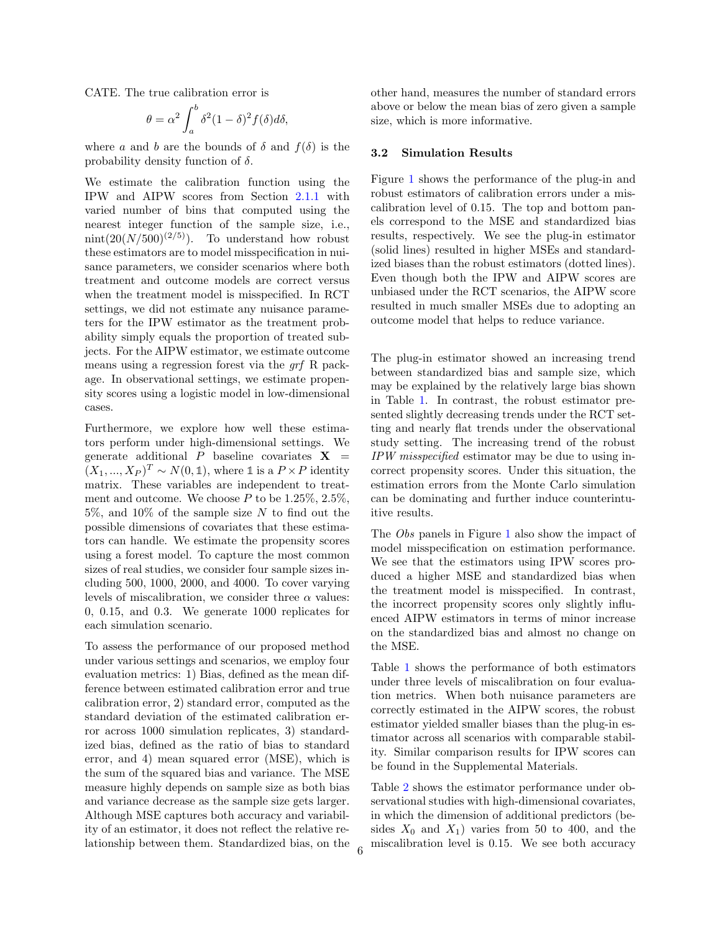CATE. The true calibration error is

$$
\theta = \alpha^2 \int_a^b \delta^2 (1 - \delta)^2 f(\delta) d\delta,
$$

where a and b are the bounds of  $\delta$  and  $f(\delta)$  is the probability density function of  $\delta$ .

We estimate the calibration function using the IPW and AIPW scores from Section [2.1.1](#page-2-3) with varied number of bins that computed using the nearest integer function of the sample size, i.e., nint(20( $N/500$ )<sup>(2/5)</sup>). To understand how robust these estimators are to model misspecification in nuisance parameters, we consider scenarios where both treatment and outcome models are correct versus when the treatment model is misspecified. In RCT settings, we did not estimate any nuisance parameters for the IPW estimator as the treatment probability simply equals the proportion of treated subjects. For the AIPW estimator, we estimate outcome means using a regression forest via the grf R package. In observational settings, we estimate propensity scores using a logistic model in low-dimensional cases.

Furthermore, we explore how well these estimators perform under high-dimensional settings. We generate additional P baseline covariates  $X =$  $(X_1, ..., X_P)^T \sim N(0, \mathbb{1})$ , where  $\mathbb{1}$  is a  $P \times P$  identity matrix. These variables are independent to treatment and outcome. We choose  $P$  to be 1.25%, 2.5%, 5\%, and 10\% of the sample size N to find out the possible dimensions of covariates that these estimators can handle. We estimate the propensity scores using a forest model. To capture the most common sizes of real studies, we consider four sample sizes including 500, 1000, 2000, and 4000. To cover varying levels of miscalibration, we consider three  $\alpha$  values: 0, 0.15, and 0.3. We generate 1000 replicates for each simulation scenario.

To assess the performance of our proposed method under various settings and scenarios, we employ four evaluation metrics: 1) Bias, defined as the mean difference between estimated calibration error and true calibration error, 2) standard error, computed as the standard deviation of the estimated calibration error across 1000 simulation replicates, 3) standardized bias, defined as the ratio of bias to standard error, and 4) mean squared error (MSE), which is the sum of the squared bias and variance. The MSE measure highly depends on sample size as both bias and variance decrease as the sample size gets larger. Although MSE captures both accuracy and variability of an estimator, it does not reflect the relative relationship between them. Standardized bias, on the other hand, measures the number of standard errors above or below the mean bias of zero given a sample size, which is more informative.

#### 3.2 Simulation Results

Figure [1](#page-6-0) shows the performance of the plug-in and robust estimators of calibration errors under a miscalibration level of 0.15. The top and bottom panels correspond to the MSE and standardized bias results, respectively. We see the plug-in estimator (solid lines) resulted in higher MSEs and standardized biases than the robust estimators (dotted lines). Even though both the IPW and AIPW scores are unbiased under the RCT scenarios, the AIPW score resulted in much smaller MSEs due to adopting an outcome model that helps to reduce variance.

The plug-in estimator showed an increasing trend between standardized bias and sample size, which may be explained by the relatively large bias shown in Table [1.](#page-6-1) In contrast, the robust estimator presented slightly decreasing trends under the RCT setting and nearly flat trends under the observational study setting. The increasing trend of the robust IPW misspecified estimator may be due to using incorrect propensity scores. Under this situation, the estimation errors from the Monte Carlo simulation can be dominating and further induce counterintuitive results.

The *Obs* panels in Figure [1](#page-6-0) also show the impact of model misspecification on estimation performance. We see that the estimators using IPW scores produced a higher MSE and standardized bias when the treatment model is misspecified. In contrast, the incorrect propensity scores only slightly influenced AIPW estimators in terms of minor increase on the standardized bias and almost no change on the MSE.

Table [1](#page-6-1) shows the performance of both estimators under three levels of miscalibration on four evaluation metrics. When both nuisance parameters are correctly estimated in the AIPW scores, the robust estimator yielded smaller biases than the plug-in estimator across all scenarios with comparable stability. Similar comparison results for IPW scores can be found in the Supplemental Materials.

Table [2](#page-7-0) shows the estimator performance under observational studies with high-dimensional covariates, in which the dimension of additional predictors (besides  $X_0$  and  $X_1$ ) varies from 50 to 400, and the miscalibration level is 0.15. We see both accuracy <sup>6</sup>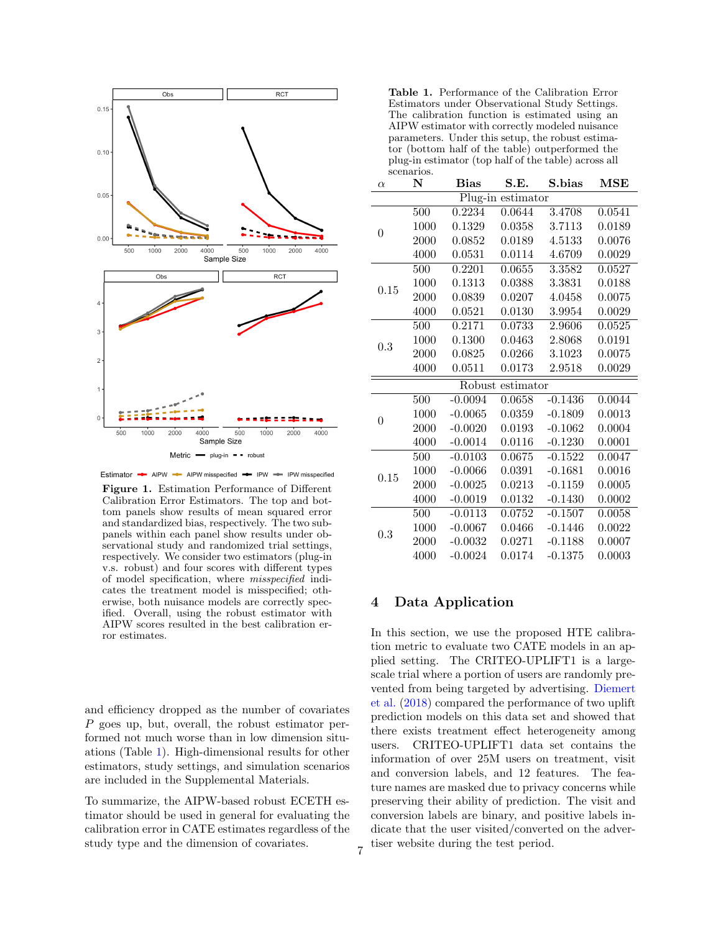<span id="page-6-0"></span>

Estimator - AIPW - AIPW misspecified - IPW - IPW misspecified

Figure 1. Estimation Performance of Different Calibration Error Estimators. The top and bottom panels show results of mean squared error and standardized bias, respectively. The two subpanels within each panel show results under observational study and randomized trial settings, respectively. We consider two estimators (plug-in v.s. robust) and four scores with different types of model specification, where misspecified indicates the treatment model is misspecified; otherwise, both nuisance models are correctly specified. Overall, using the robust estimator with AIPW scores resulted in the best calibration error estimates.

and efficiency dropped as the number of covariates P goes up, but, overall, the robust estimator performed not much worse than in low dimension situations (Table [1\)](#page-6-1). High-dimensional results for other estimators, study settings, and simulation scenarios are included in the Supplemental Materials.

To summarize, the AIPW-based robust ECETH estimator should be used in general for evaluating the calibration error in CATE estimates regardless of the study type and the dimension of covariates.

<span id="page-6-1"></span>Table 1. Performance of the Calibration Error Estimators under Observational Study Settings. The calibration function is estimated using an AIPW estimator with correctly modeled nuisance parameters. Under this setup, the robust estimator (bottom half of the table) outperformed the plug-in estimator (top half of the table) across all scenarios.

| $\alpha$       | N                | <b>Bias</b> | S.E.              | S.bias    | $\operatorname{MSE}$ |
|----------------|------------------|-------------|-------------------|-----------|----------------------|
|                |                  |             | Plug-in estimator |           |                      |
|                | 500              | 0.2234      | 0.0644            | 3.4708    | 0.0541               |
| $\overline{0}$ | 1000             | 0.1329      | 0.0358            | 3.7113    | 0.0189               |
|                | 2000             | 0.0852      | 0.0189            | 4.5133    | 0.0076               |
|                | 4000             | 0.0531      | 0.0114            | 4.6709    | 0.0029               |
|                | 500              | 0.2201      | 0.0655            | 3.3582    | 0.0527               |
| $0.15\,$       | 1000             | 0.1313      | 0.0388            | 3.3831    | 0.0188               |
|                | 2000             | 0.0839      | 0.0207            | 4.0458    | 0.0075               |
|                | 4000             | 0.0521      | 0.0130            | 3.9954    | 0.0029               |
|                | 500              | 0.2171      | 0.0733            | 2.9606    | 0.0525               |
| 0.3            | 1000             | 0.1300      | 0.0463            | 2.8068    | 0.0191               |
|                | 2000             | 0.0825      | 0.0266            | 3.1023    | 0.0075               |
|                | 4000             | 0.0511      | 0.0173            | 2.9518    | 0.0029               |
|                |                  |             | Robust estimator  |           |                      |
|                | 500              | $-0.0094$   | 0.0658            | $-0.1436$ | 0.0044               |
| $\theta$       | 1000             | $-0.0065$   | 0.0359            | $-0.1809$ | 0.0013               |
|                | 2000             | $-0.0020$   | 0.0193            | $-0.1062$ | 0.0004               |
|                | 4000             | $-0.0014$   | 0.0116            | $-0.1230$ | 0.0001               |
|                | $\overline{500}$ | $-0.0103$   | 0.0675            | $-0.1522$ | 0.0047               |
| $0.15\,$       | 1000             | $-0.0066$   | 0.0391            | $-0.1681$ | 0.0016               |
|                | 2000             | $-0.0025$   | 0.0213            | $-0.1159$ | 0.0005               |
|                | 4000             | $-0.0019$   | 0.0132            | $-0.1430$ | 0.0002               |
|                | 500              | $-0.0113$   | 0.0752            | $-0.1507$ | 0.0058               |
| 0.3            | 1000             | $-0.0067$   | 0.0466            | $-0.1446$ | 0.0022               |
|                | 2000             | $-0.0032$   | 0.0271            | $-0.1188$ | 0.0007               |
|                | 4000             | $-0.0024$   | 0.0174            | $-0.1375$ | 0.0003               |
|                |                  |             |                   |           |                      |

## 4 Data Application

In this section, we use the proposed HTE calibration metric to evaluate two CATE models in an applied setting. The CRITEO-UPLIFT1 is a largescale trial where a portion of users are randomly prevented from being targeted by advertising. [Diemert](#page-9-23) [et al.](#page-9-23) [\(2018\)](#page-9-23) compared the performance of two uplift prediction models on this data set and showed that there exists treatment effect heterogeneity among users. CRITEO-UPLIFT1 data set contains the information of over 25M users on treatment, visit and conversion labels, and 12 features. The feature names are masked due to privacy concerns while preserving their ability of prediction. The visit and conversion labels are binary, and positive labels indicate that the user visited/converted on the advertiser website during the test period.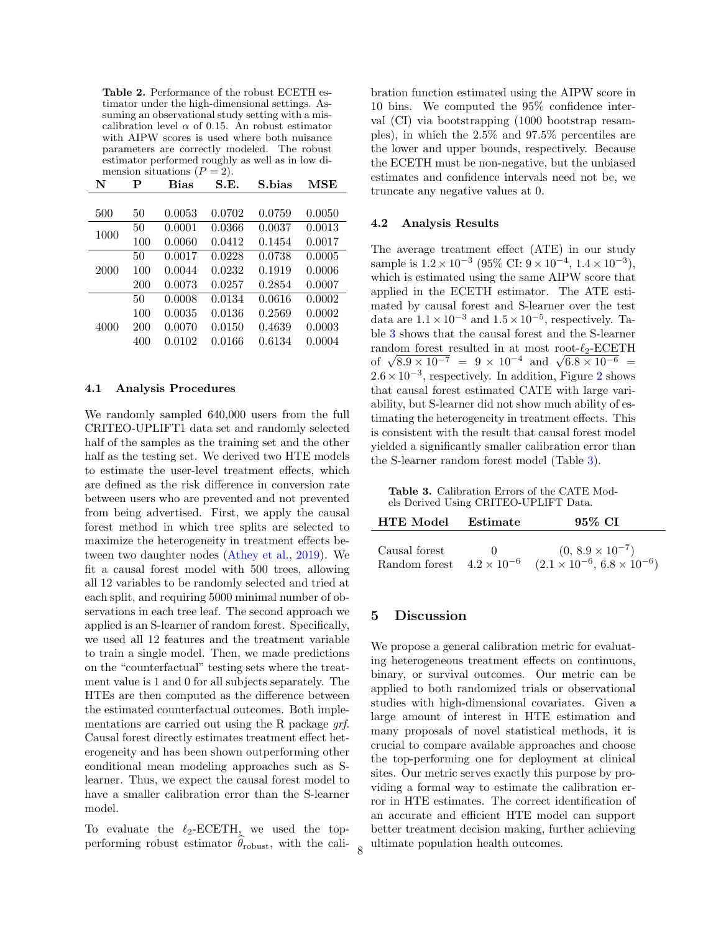<span id="page-7-0"></span>Table 2. Performance of the robust ECETH estimator under the high-dimensional settings. Assuming an observational study setting with a miscalibration level  $\alpha$  of 0.15. An robust estimator with AIPW scores is used where both nuisance parameters are correctly modeled. The robust estimator performed roughly as well as in low dimension situations  $(P = 2)$ .

| N    | P   | <b>Bias</b> | S.E.   | S.bias | MSE    |
|------|-----|-------------|--------|--------|--------|
|      |     |             |        |        |        |
| 500  | 50  | 0.0053      | 0.0702 | 0.0759 | 0.0050 |
| 1000 | 50  | 0.0001      | 0.0366 | 0.0037 | 0.0013 |
|      | 100 | 0.0060      | 0.0412 | 0.1454 | 0.0017 |
|      | 50  | 0.0017      | 0.0228 | 0.0738 | 0.0005 |
| 2000 | 100 | 0.0044      | 0.0232 | 0.1919 | 0.0006 |
|      | 200 | 0.0073      | 0.0257 | 0.2854 | 0.0007 |
|      | 50  | 0.0008      | 0.0134 | 0.0616 | 0.0002 |
|      | 100 | 0.0035      | 0.0136 | 0.2569 | 0.0002 |
| 4000 | 200 | 0.0070      | 0.0150 | 0.4639 | 0.0003 |
|      | 400 | 0.0102      | 0.0166 | 0.6134 | 0.0004 |

### 4.1 Analysis Procedures

We randomly sampled 640,000 users from the full CRITEO-UPLIFT1 data set and randomly selected half of the samples as the training set and the other half as the testing set. We derived two HTE models to estimate the user-level treatment effects, which are defined as the risk difference in conversion rate between users who are prevented and not prevented from being advertised. First, we apply the causal forest method in which tree splits are selected to maximize the heterogeneity in treatment effects between two daughter nodes [\(Athey et al.,](#page-8-8) [2019\)](#page-8-8). We fit a causal forest model with 500 trees, allowing all 12 variables to be randomly selected and tried at each split, and requiring 5000 minimal number of observations in each tree leaf. The second approach we applied is an S-learner of random forest. Specifically, we used all 12 features and the treatment variable to train a single model. Then, we made predictions on the "counterfactual" testing sets where the treatment value is 1 and 0 for all subjects separately. The HTEs are then computed as the difference between the estimated counterfactual outcomes. Both implementations are carried out using the R package grf. Causal forest directly estimates treatment effect heterogeneity and has been shown outperforming other conditional mean modeling approaches such as Slearner. Thus, we expect the causal forest model to have a smaller calibration error than the S-learner model.

To evaluate the  $\ell_2$ -ECETH, we used the topperforming robust estimator  $\theta_{\text{robust}}$ , with the calibration function estimated using the AIPW score in 10 bins. We computed the 95% confidence interval (CI) via bootstrapping (1000 bootstrap resamples), in which the 2.5% and 97.5% percentiles are the lower and upper bounds, respectively. Because the ECETH must be non-negative, but the unbiased estimates and confidence intervals need not be, we truncate any negative values at 0.

### 4.2 Analysis Results

The average treatment effect (ATE) in our study sample is  $1.2 \times 10^{-3}$  (95% CI:  $9 \times 10^{-4}$ ,  $1.4 \times 10^{-3}$ ), which is estimated using the same AIPW score that applied in the ECETH estimator. The ATE estimated by causal forest and S-learner over the test data are  $1.1 \times 10^{-3}$  and  $1.5 \times 10^{-5}$ , respectively. Table [3](#page-7-1) shows that the causal forest and the S-learner random forest resulted in at most root- $\ell_2$ -ECETH random forest resulted in at most root- $\ell_2$ -ECETH<br>of  $\sqrt{8.9 \times 10^{-7}} = 9 \times 10^{-4}$  and  $\sqrt{6.8 \times 10^{-6}} =$  $2.6 \times 10^{-3}$  $2.6 \times 10^{-3}$ , respectively. In addition, Figure 2 shows that causal forest estimated CATE with large variability, but S-learner did not show much ability of estimating the heterogeneity in treatment effects. This is consistent with the result that causal forest model yielded a significantly smaller calibration error than the S-learner random forest model (Table [3\)](#page-7-1).

<span id="page-7-1"></span>Table 3. Calibration Errors of the CATE Models Derived Using CRITEO-UPLIFT Data.

| <b>HTE</b> Model                                    | Estimate    | 95% CI                                                                  |  |  |
|-----------------------------------------------------|-------------|-------------------------------------------------------------------------|--|--|
| Causal forest<br>Random forest $4.2 \times 10^{-6}$ | $^{\prime}$ | $(0, 8.9 \times 10^{-7})$<br>$(2.1 \times 10^{-6}, 6.8 \times 10^{-6})$ |  |  |

### 5 Discussion

We propose a general calibration metric for evaluating heterogeneous treatment effects on continuous, binary, or survival outcomes. Our metric can be applied to both randomized trials or observational studies with high-dimensional covariates. Given a large amount of interest in HTE estimation and many proposals of novel statistical methods, it is crucial to compare available approaches and choose the top-performing one for deployment at clinical sites. Our metric serves exactly this purpose by providing a formal way to estimate the calibration error in HTE estimates. The correct identification of an accurate and efficient HTE model can support better treatment decision making, further achieving ultimate population health outcomes. <sup>8</sup>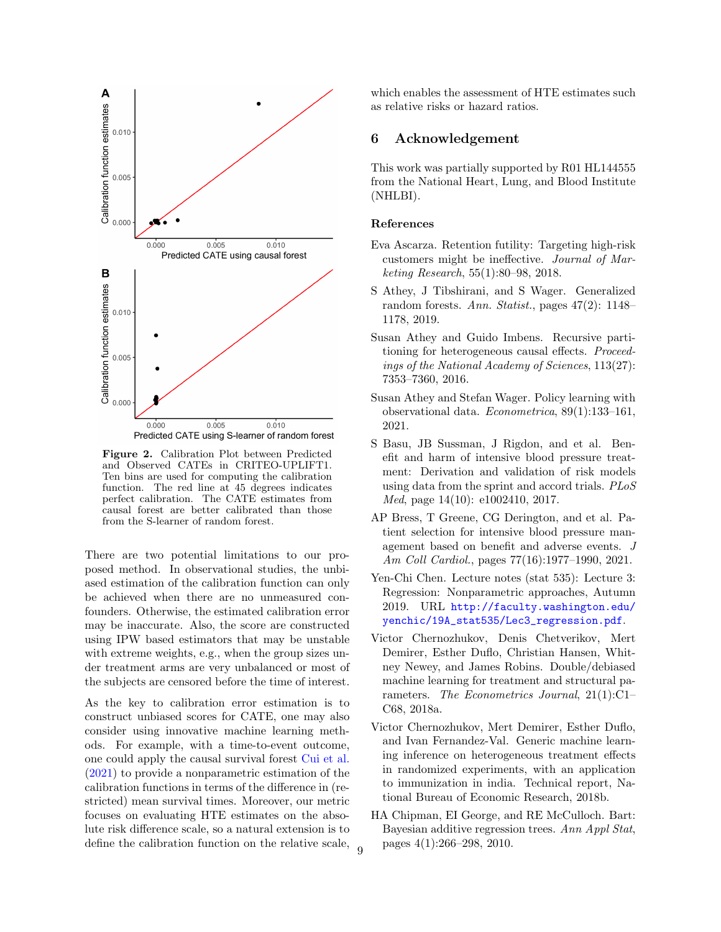<span id="page-8-9"></span>

Figure 2. Calibration Plot between Predicted and Observed CATEs in CRITEO-UPLIFT1. Ten bins are used for computing the calibration function. The red line at 45 degrees indicates perfect calibration. The CATE estimates from causal forest are better calibrated than those from the S-learner of random forest.

There are two potential limitations to our proposed method. In observational studies, the unbiased estimation of the calibration function can only be achieved when there are no unmeasured confounders. Otherwise, the estimated calibration error may be inaccurate. Also, the score are constructed using IPW based estimators that may be unstable with extreme weights, e.g., when the group sizes under treatment arms are very unbalanced or most of the subjects are censored before the time of interest.

As the key to calibration error estimation is to construct unbiased scores for CATE, one may also consider using innovative machine learning methods. For example, with a time-to-event outcome, one could apply the causal survival forest [Cui et al.](#page-9-24) [\(2021\)](#page-9-24) to provide a nonparametric estimation of the calibration functions in terms of the difference in (restricted) mean survival times. Moreover, our metric focuses on evaluating HTE estimates on the absolute risk difference scale, so a natural extension is to define the calibration function on the relative scale, which enables the assessment of HTE estimates such as relative risks or hazard ratios.

### 6 Acknowledgement

This work was partially supported by R01 HL144555 from the National Heart, Lung, and Blood Institute (NHLBI).

#### References

- <span id="page-8-3"></span>Eva Ascarza. Retention futility: Targeting high-risk customers might be ineffective. Journal of Marketing Research, 55(1):80–98, 2018.
- <span id="page-8-8"></span>S Athey, J Tibshirani, and S Wager. Generalized random forests. Ann. Statist., pages 47(2): 1148– 1178, 2019.
- <span id="page-8-0"></span>Susan Athey and Guido Imbens. Recursive partitioning for heterogeneous causal effects. Proceedings of the National Academy of Sciences, 113(27): 7353–7360, 2016.
- <span id="page-8-6"></span>Susan Athey and Stefan Wager. Policy learning with observational data. Econometrica, 89(1):133–161, 2021.
- <span id="page-8-1"></span>S Basu, JB Sussman, J Rigdon, and et al. Benefit and harm of intensive blood pressure treatment: Derivation and validation of risk models using data from the sprint and accord trials. PLoS Med, page 14(10): e1002410, 2017.
- <span id="page-8-2"></span>AP Bress, T Greene, CG Derington, and et al. Patient selection for intensive blood pressure management based on benefit and adverse events. J Am Coll Cardiol., pages 77(16):1977–1990, 2021.
- <span id="page-8-10"></span>Yen-Chi Chen. Lecture notes (stat 535): Lecture 3: Regression: Nonparametric approaches, Autumn 2019. URL [http://faculty.washington.edu/](http://faculty.washington.edu/yenchic/19A_stat535/Lec3_regression.pdf) [yenchic/19A\\_stat535/Lec3\\_regression.pdf](http://faculty.washington.edu/yenchic/19A_stat535/Lec3_regression.pdf).
- <span id="page-8-7"></span>Victor Chernozhukov, Denis Chetverikov, Mert Demirer, Esther Duflo, Christian Hansen, Whitney Newey, and James Robins. Double/debiased machine learning for treatment and structural parameters. The Econometrics Journal, 21(1):C1– C68, 2018a.
- <span id="page-8-5"></span>Victor Chernozhukov, Mert Demirer, Esther Duflo, and Ivan Fernandez-Val. Generic machine learning inference on heterogeneous treatment effects in randomized experiments, with an application to immunization in india. Technical report, National Bureau of Economic Research, 2018b.
- <span id="page-8-4"></span>HA Chipman, EI George, and RE McCulloch. Bart: Bayesian additive regression trees. Ann Appl Stat,  $_{9}$  pages 4(1):266–298, 2010.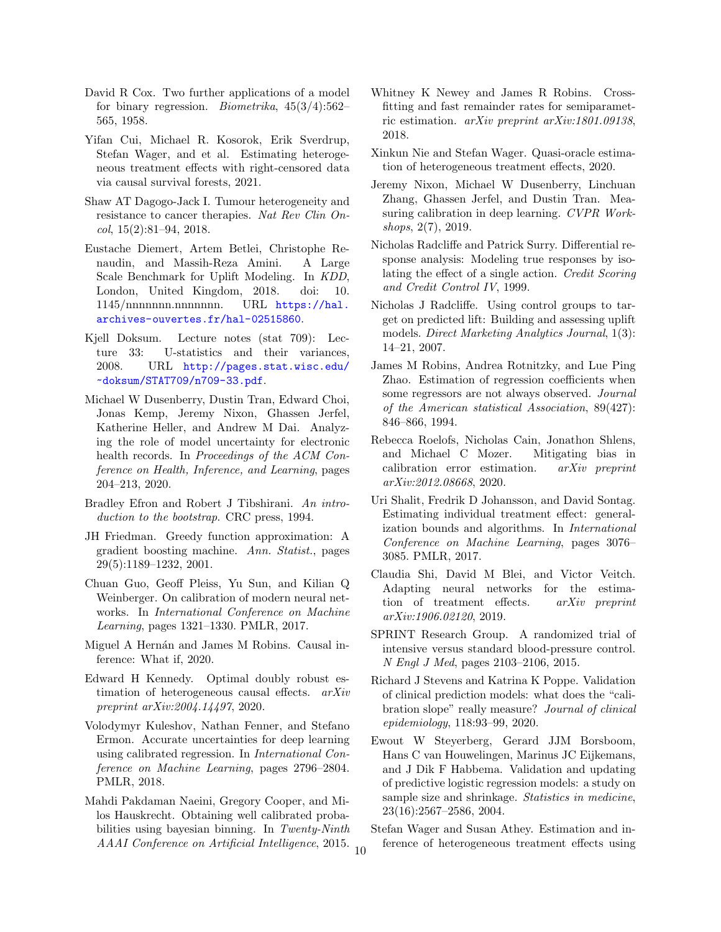- <span id="page-9-6"></span>David R Cox. Two further applications of a model for binary regression. *Biometrika*,  $45(3/4):562-$ 565, 1958.
- <span id="page-9-24"></span>Yifan Cui, Michael R. Kosorok, Erik Sverdrup, Stefan Wager, and et al. Estimating heterogeneous treatment effects with right-censored data via causal survival forests, 2021.
- <span id="page-9-12"></span>Shaw AT Dagogo-Jack I. Tumour heterogeneity and resistance to cancer therapies. Nat Rev Clin On $col, 15(2):81-94, 2018.$
- <span id="page-9-23"></span>Eustache Diemert, Artem Betlei, Christophe Renaudin, and Massih-Reza Amini. A Large Scale Benchmark for Uplift Modeling. In KDD, London, United Kingdom, 2018. doi: 10. 1145/nnnnnnnnnnnnnnnn. URL [https://hal.](https://hal.archives-ouvertes.fr/hal-02515860) [archives-ouvertes.fr/hal-02515860](https://hal.archives-ouvertes.fr/hal-02515860).
- <span id="page-9-25"></span>Kjell Doksum. Lecture notes (stat 709): Lecture 33: U-statistics and their variances, 2008. URL [http://pages.stat.wisc.edu/](http://pages.stat.wisc.edu/~doksum/STAT709/n709-33.pdf) [~doksum/STAT709/n709-33.pdf](http://pages.stat.wisc.edu/~doksum/STAT709/n709-33.pdf).
- <span id="page-9-1"></span>Michael W Dusenberry, Dustin Tran, Edward Choi, Jonas Kemp, Jeremy Nixon, Ghassen Jerfel, Katherine Heller, and Andrew M Dai. Analyzing the role of model uncertainty for electronic health records. In Proceedings of the ACM Conference on Health, Inference, and Learning, pages 204–213, 2020.
- <span id="page-9-22"></span>Bradley Efron and Robert J Tibshirani. An introduction to the bootstrap. CRC press, 1994.
- <span id="page-9-17"></span>JH Friedman. Greedy function approximation: A gradient boosting machine. Ann. Statist., pages 29(5):1189–1232, 2001.
- <span id="page-9-2"></span>Chuan Guo, Geoff Pleiss, Yu Sun, and Kilian Q Weinberger. On calibration of modern neural networks. In International Conference on Machine Learning, pages 1321–1330. PMLR, 2017.
- <span id="page-9-18"></span>Miguel A Hernán and James M Robins. Causal inference: What if, 2020.
- <span id="page-9-11"></span>Edward H Kennedy. Optimal doubly robust estimation of heterogeneous causal effects. arXiv preprint arXiv:2004.14497, 2020.
- <span id="page-9-3"></span>Volodymyr Kuleshov, Nathan Fenner, and Stefano Ermon. Accurate uncertainties for deep learning using calibrated regression. In International Conference on Machine Learning, pages 2796–2804. PMLR, 2018.
- <span id="page-9-0"></span>Mahdi Pakdaman Naeini, Gregory Cooper, and Milos Hauskrecht. Obtaining well calibrated probabilities using bayesian binning. In Twenty-Ninth AAAI Conference on Artificial Intelligence, 2015.
- <span id="page-9-21"></span>Whitney K Newey and James R Robins. Crossfitting and fast remainder rates for semiparametric estimation. arXiv preprint arXiv:1801.09138, 2018.
- <span id="page-9-9"></span>Xinkun Nie and Stefan Wager. Quasi-oracle estimation of heterogeneous treatment effects, 2020.
- <span id="page-9-4"></span>Jeremy Nixon, Michael W Dusenberry, Linchuan Zhang, Ghassen Jerfel, and Dustin Tran. Measuring calibration in deep learning. CVPR Workshops, 2(7), 2019.
- <span id="page-9-14"></span>Nicholas Radcliffe and Patrick Surry. Differential response analysis: Modeling true responses by isolating the effect of a single action. Credit Scoring and Credit Control IV, 1999.
- <span id="page-9-15"></span>Nicholas J Radcliffe. Using control groups to target on predicted lift: Building and assessing uplift models. Direct Marketing Analytics Journal, 1(3): 14–21, 2007.
- <span id="page-9-20"></span>James M Robins, Andrea Rotnitzky, and Lue Ping Zhao. Estimation of regression coefficients when some regressors are not always observed. Journal of the American statistical Association, 89(427): 846–866, 1994.
- <span id="page-9-19"></span>Rebecca Roelofs, Nicholas Cain, Jonathon Shlens, and Michael C Mozer. Mitigating bias in calibration error estimation. arXiv preprint arXiv:2012.08668, 2020.
- <span id="page-9-8"></span>Uri Shalit, Fredrik D Johansson, and David Sontag. Estimating individual treatment effect: generalization bounds and algorithms. In International Conference on Machine Learning, pages 3076– 3085. PMLR, 2017.
- <span id="page-9-10"></span>Claudia Shi, David M Blei, and Victor Veitch. Adapting neural networks for the estimation of treatment effects. arXiv preprint arXiv:1906.02120, 2019.
- <span id="page-9-13"></span>SPRINT Research Group. A randomized trial of intensive versus standard blood-pressure control. N Engl J Med, pages 2103–2106, 2015.
- <span id="page-9-5"></span>Richard J Stevens and Katrina K Poppe. Validation of clinical prediction models: what does the "calibration slope" really measure? Journal of clinical epidemiology, 118:93–99, 2020.
- <span id="page-9-7"></span>Ewout W Steyerberg, Gerard JJM Borsboom, Hans C van Houwelingen, Marinus JC Eijkemans, and J Dik F Habbema. Validation and updating of predictive logistic regression models: a study on sample size and shrinkage. *Statistics in medicine*. 23(16):2567–2586, 2004.
- <span id="page-9-16"></span>Stefan Wager and Susan Athey. Estimation and inference of heterogeneous treatment effects using <sup>10</sup>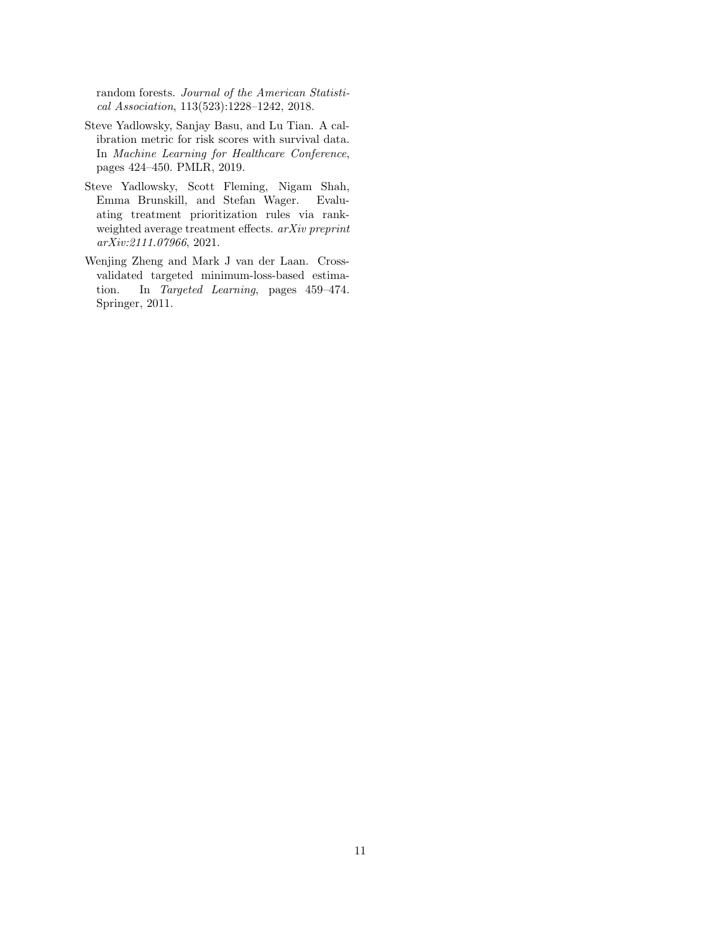random forests. Journal of the American Statistical Association, 113(523):1228–1242, 2018.

- <span id="page-10-0"></span>Steve Yadlowsky, Sanjay Basu, and Lu Tian. A calibration metric for risk scores with survival data. In Machine Learning for Healthcare Conference, pages 424–450. PMLR, 2019.
- <span id="page-10-1"></span>Steve Yadlowsky, Scott Fleming, Nigam Shah, Emma Brunskill, and Stefan Wager. Evaluating treatment prioritization rules via rankweighted average treatment effects. arXiv preprint arXiv:2111.07966, 2021.
- <span id="page-10-2"></span>Wenjing Zheng and Mark J van der Laan. Crossvalidated targeted minimum-loss-based estimation. In Targeted Learning, pages 459–474. Springer, 2011.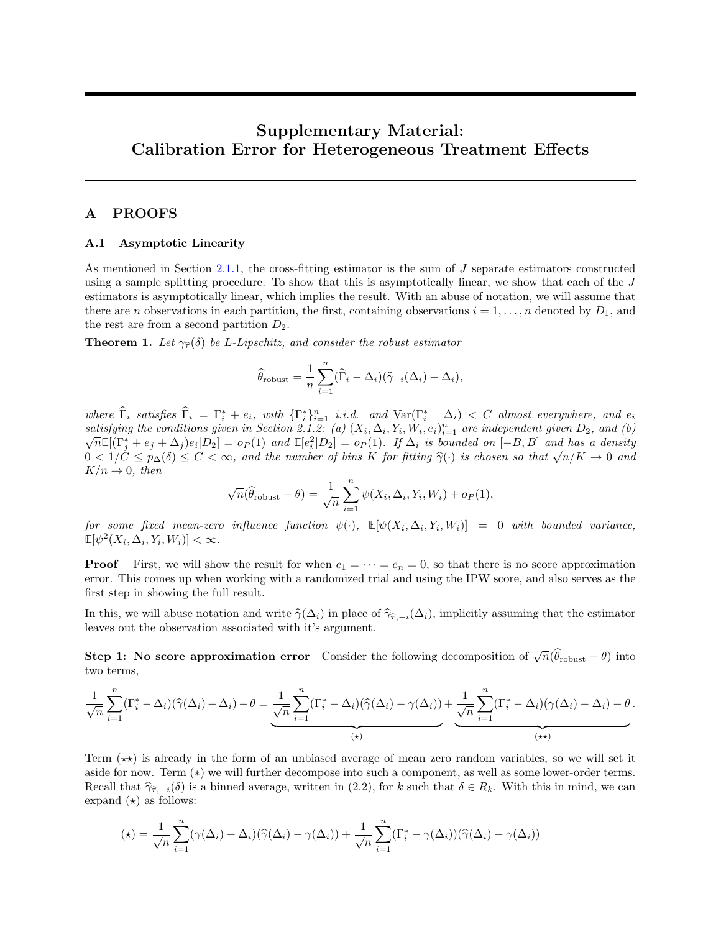# Supplementary Material: Calibration Error for Heterogeneous Treatment Effects

# A PROOFS

#### A.1 Asymptotic Linearity

As mentioned in Section [2.1.1,](#page-2-3) the cross-fitting estimator is the sum of J separate estimators constructed using a sample splitting procedure. To show that this is asymptotically linear, we show that each of the J estimators is asymptotically linear, which implies the result. With an abuse of notation, we will assume that there are n observations in each partition, the first, containing observations  $i = 1, \ldots, n$  denoted by  $D_1$ , and the rest are from a second partition  $D_2$ .

**Theorem 1.** Let  $\gamma_{\hat{\tau}}(\delta)$  be L-Lipschitz, and consider the robust estimator

$$
\widehat{\theta}_{\text{robust}} = \frac{1}{n} \sum_{i=1}^{n} (\widehat{\Gamma}_{i} - \Delta_{i}) (\widehat{\gamma}_{-i}(\Delta_{i}) - \Delta_{i}),
$$

where  $\widehat{\Gamma}_i$  satisfies  $\widehat{\Gamma}_i = \Gamma_i^* + e_i$ , with  $\{\Gamma_i^*\}_{i=1}^n$  i.i.d. and  $\text{Var}(\Gamma_i^* | \Delta_i) < C$  almost everywhere, and  $e_i$ satisfying the conditions given in Section 2.1.2: (a)  $(X_i, \Delta_i, Y_i, W_i, e_i)_{i=1}^n$  are independent given  $D_2$ , and (b)  $\overline{n} \mathbb{E}[(\Gamma_j^* + e_j + \Delta_j)e_i|D_2] = o_P(1)$  and  $\mathbb{E}[e_i^2|D_2] = o_P(1)$ . If  $\Delta_i$  is bounded on  $[-B, B]$  and has a density  $\sqrt{n}\mathbb{E}[(\mathbf{I}_j + e_j + \Delta_j)e_i | D_2] = op(\mathbf{I})$  and  $\mathbb{E}[e_i | D_2] = op(\mathbf{I})$ . If  $\Delta_i$  is bounded on  $[-B, B]$  and has a density  $0 < 1/C \le p_{\Delta}(\delta) \le C < \infty$ , and the number of bins K for fitting  $\hat{\gamma}(\cdot)$  is chosen so that  $\sqrt{n}/K \to$  $K/n \rightarrow 0$ , then

$$
\sqrt{n}(\widehat{\theta}_{\text{robust}} - \theta) = \frac{1}{\sqrt{n}} \sum_{i=1}^{n} \psi(X_i, \Delta_i, Y_i, W_i) + o_P(1),
$$

 $\emph{for some fixed mean-zero influence function $\psi(\cdot)$, $\mathbb{E}[\psi(X_i,\Delta_i,Y_i,W_i)]$ = 0 with bounded variance, $p$-equivariant.}$  $\mathbb{E}[\psi^2(X_i, \Delta_i, Y_i, W_i)] < \infty.$ 

**Proof** First, we will show the result for when  $e_1 = \cdots = e_n = 0$ , so that there is no score approximation error. This comes up when working with a randomized trial and using the IPW score, and also serves as the first step in showing the full result.

In this, we will abuse notation and write  $\hat{\gamma}(\Delta_i)$  in place of  $\hat{\gamma}_{\hat{\tau}, -i}(\Delta_i)$ , implicitly assuming that the estimator leaves out the observation associated with it's argument.

**Step 1:** No score approximation error Consider the following decomposition of  $\sqrt{n}(\hat{\theta}_{\text{robust}} - \theta)$  into two terms,

$$
\frac{1}{\sqrt{n}} \sum_{i=1}^{n} (\Gamma_i^* - \Delta_i)(\widehat{\gamma}(\Delta_i) - \Delta_i) - \theta = \underbrace{\frac{1}{\sqrt{n}} \sum_{i=1}^{n} (\Gamma_i^* - \Delta_i)(\widehat{\gamma}(\Delta_i) - \gamma(\Delta_i))}_{(*)} + \underbrace{\frac{1}{\sqrt{n}} \sum_{i=1}^{n} (\Gamma_i^* - \Delta_i)(\gamma(\Delta_i) - \Delta_i) - \theta}_{(**)}
$$

Term  $(\star \star)$  is already in the form of an unbiased average of mean zero random variables, so we will set it aside for now. Term (∗) we will further decompose into such a component, as well as some lower-order terms. Recall that  $\hat{\gamma}_{\hat{\tau},-i}(\delta)$  is a binned average, written in (2.2), for k such that  $\delta \in R_k$ . With this in mind, we can expand  $(\star)$  as follows:

$$
(\star) = \frac{1}{\sqrt{n}} \sum_{i=1}^{n} (\gamma(\Delta_i) - \Delta_i)(\widehat{\gamma}(\Delta_i) - \gamma(\Delta_i)) + \frac{1}{\sqrt{n}} \sum_{i=1}^{n} (\Gamma_i^* - \gamma(\Delta_i))(\widehat{\gamma}(\Delta_i) - \gamma(\Delta_i))
$$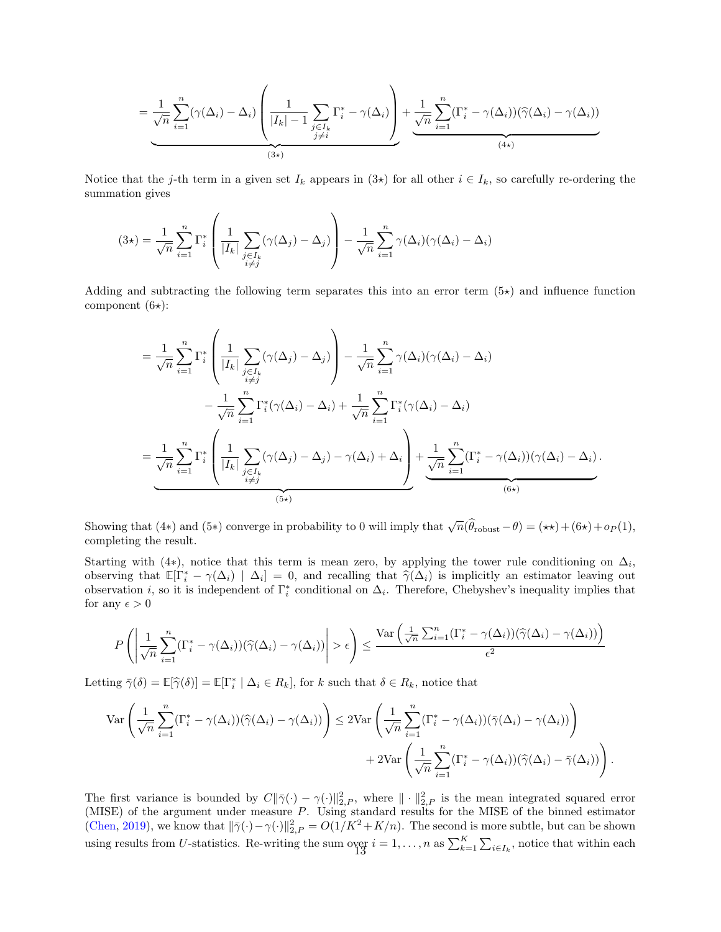$$
= \underbrace{\frac{1}{\sqrt{n}} \sum_{i=1}^{n} (\gamma(\Delta_i) - \Delta_i) \left( \frac{1}{|I_k| - 1} \sum_{\substack{j \in I_k \\ j \neq i}} \Gamma_i^* - \gamma(\Delta_i) \right)}_{(3 \star)} + \underbrace{\frac{1}{\sqrt{n}} \sum_{i=1}^{n} (\Gamma_i^* - \gamma(\Delta_i)) (\widehat{\gamma}(\Delta_i) - \gamma(\Delta_i))}_{(4 \star)}
$$

Notice that the j-th term in a given set  $I_k$  appears in  $(3\star)$  for all other  $i \in I_k$ , so carefully re-ordering the summation gives

$$
(3\star) = \frac{1}{\sqrt{n}} \sum_{i=1}^{n} \Gamma_i^* \left( \frac{1}{|I_k|} \sum_{\substack{j \in I_k \\ i \neq j}} (\gamma(\Delta_j) - \Delta_j) \right) - \frac{1}{\sqrt{n}} \sum_{i=1}^{n} \gamma(\Delta_i) (\gamma(\Delta_i) - \Delta_i)
$$

Adding and subtracting the following term separates this into an error term  $(5\star)$  and influence function component  $(6\star)$ :

$$
= \frac{1}{\sqrt{n}} \sum_{i=1}^{n} \Gamma_{i}^{*} \left( \frac{1}{|I_{k}|} \sum_{\substack{j \in I_{k} \\ i \neq j}} (\gamma(\Delta_{j}) - \Delta_{j}) \right) - \frac{1}{\sqrt{n}} \sum_{i=1}^{n} \gamma(\Delta_{i}) (\gamma(\Delta_{i}) - \Delta_{i})
$$

$$
- \frac{1}{\sqrt{n}} \sum_{i=1}^{n} \Gamma_{i}^{*} (\gamma(\Delta_{i}) - \Delta_{i}) + \frac{1}{\sqrt{n}} \sum_{i=1}^{n} \Gamma_{i}^{*} (\gamma(\Delta_{i}) - \Delta_{i})
$$

$$
= \frac{1}{\sqrt{n}} \sum_{i=1}^{n} \Gamma_{i}^{*} \left( \frac{1}{|I_{k}|} \sum_{\substack{j \in I_{k} \\ i \neq j}} (\gamma(\Delta_{j}) - \Delta_{j}) - \gamma(\Delta_{i}) + \Delta_{i} \right) + \frac{1}{\sqrt{n}} \sum_{i=1}^{n} (\Gamma_{i}^{*} - \gamma(\Delta_{i})) (\gamma(\Delta_{i}) - \Delta_{i}).
$$
(6\*)

Showing that (4∗) and (5∗) converge in probability to 0 will imply that  $\sqrt{n}(\hat{\theta}_{\text{robust}} - \theta) = (\star \star) + (6\star) + o_P(1)$ , completing the result.

Starting with (4\*), notice that this term is mean zero, by applying the tower rule conditioning on  $\Delta_i$ , observing that  $\mathbb{E}[\Gamma_i^* - \gamma(\Delta_i) | \Delta_i] = 0$ , and recalling that  $\hat{\gamma}(\Delta_i)$  is implicitly an estimator leaving out observation *i*, so it is independent of  $\Gamma^*$  conditional on  $\Delta_i$ . Therefore, Chobyshov's inequality im observation *i*, so it is independent of  $\Gamma_i^*$  conditional on  $\Delta_i$ . Therefore, Chebyshev's inequality implies that for any  $\epsilon > 0$ 

$$
P\left(\left|\frac{1}{\sqrt{n}}\sum_{i=1}^n(\Gamma_i^*-\gamma(\Delta_i))(\widehat{\gamma}(\Delta_i)-\gamma(\Delta_i))\right|>\epsilon\right)\leq \frac{\text{Var}\left(\frac{1}{\sqrt{n}}\sum_{i=1}^n(\Gamma_i^*-\gamma(\Delta_i))(\widehat{\gamma}(\Delta_i)-\gamma(\Delta_i))\right)}{\epsilon^2}
$$

Letting  $\bar{\gamma}(\delta) = \mathbb{E}[\hat{\gamma}(\delta)] = \mathbb{E}[\Gamma_i^* \mid \Delta_i \in R_k]$ , for k such that  $\delta \in R_k$ , notice that

$$
\operatorname{Var}\left(\frac{1}{\sqrt{n}}\sum_{i=1}^{n}(\Gamma_{i}^{*}-\gamma(\Delta_{i}))(\widehat{\gamma}(\Delta_{i})-\gamma(\Delta_{i}))\right)\leq 2\operatorname{Var}\left(\frac{1}{\sqrt{n}}\sum_{i=1}^{n}(\Gamma_{i}^{*}-\gamma(\Delta_{i}))(\bar{\gamma}(\Delta_{i})-\gamma(\Delta_{i}))\right) + 2\operatorname{Var}\left(\frac{1}{\sqrt{n}}\sum_{i=1}^{n}(\Gamma_{i}^{*}-\gamma(\Delta_{i}))(\widehat{\gamma}(\Delta_{i})-\bar{\gamma}(\Delta_{i}))\right).
$$

The first variance is bounded by  $C\|\bar{\gamma}(\cdot) - \gamma(\cdot)\|_{2,P}^2$ , where  $\|\cdot\|_{2,P}^2$  is the mean integrated squared error (MISE) of the argument under measure P. Using standard results for the MISE of the binned estimator [\(Chen,](#page-8-10) [2019\)](#page-8-10), we know that  $\|\bar{\gamma}(\cdot) - \gamma(\cdot)\|_{2,P}^2 = O(1/K^2 + K/n)$ . The second is more subtle, but can be shown using results from U-statistics. Re-writing the sum over  $i = 1, ..., n$  as  $\sum_{k=1}^{K} \sum_{i \in I_k}$ , notice that within each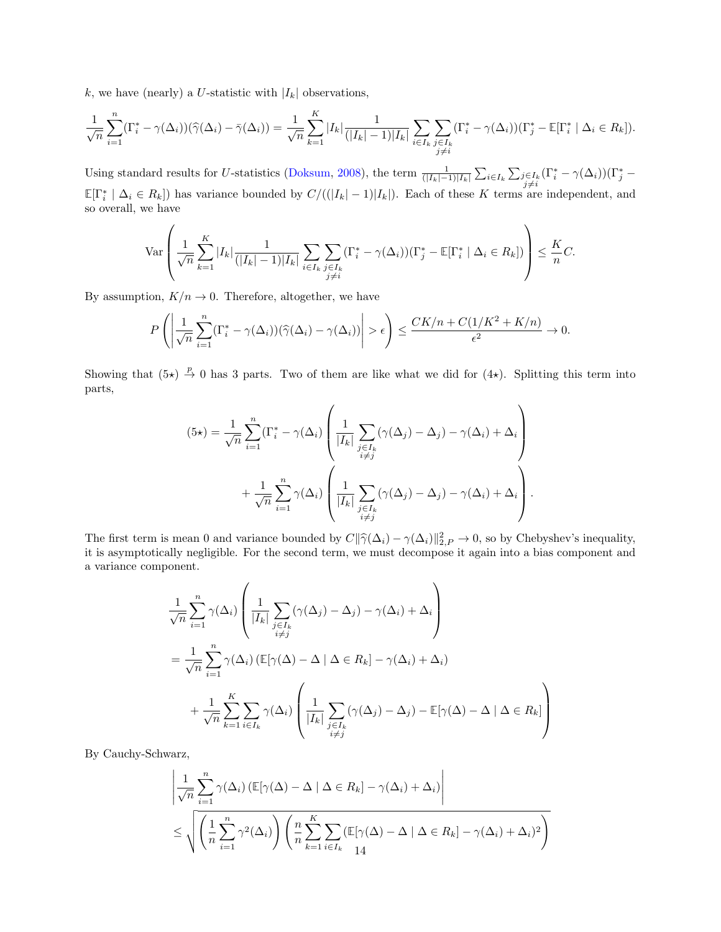k, we have (nearly) a U-statistic with  $|I_k|$  observations,

$$
\frac{1}{\sqrt{n}}\sum_{i=1}^n(\Gamma_i^*-\gamma(\Delta_i))(\widehat{\gamma}(\Delta_i)-\bar{\gamma}(\Delta_i))=\frac{1}{\sqrt{n}}\sum_{k=1}^K|I_k|\frac{1}{(|I_k|-1)|I_k|}\sum_{i\in I_k}\sum_{\substack{j\in I_k\\j\neq i}}(\Gamma_i^*-\gamma(\Delta_i))(\Gamma_j^*-\mathbb{E}[\Gamma_i^* \mid \Delta_i\in R_k]).
$$

Using standard results for U-statistics [\(Doksum,](#page-9-25) [2008\)](#page-9-25), the term  $\frac{1}{(|I_k|-1)|I_k|} \sum_{i\in I_k} \sum_{j\in I_k} (\Gamma_i^* - \gamma(\Delta_i))(\Gamma_j^* \mathbb{E}[\Gamma_i^* | \Delta_i \in R_k]$  has variance bounded by  $C/((|I_k| - 1)|I_k|)$ . Each of these K terms are independent, and so overall, we have

$$
\operatorname{Var}\left(\frac{1}{\sqrt{n}}\sum_{k=1}^K|I_k|\frac{1}{(|I_k|-1)|I_k|}\sum_{\substack{i\in I_k}}\sum_{\substack{j\in I_k\\j\neq i}}(\Gamma_i^*-\gamma(\Delta_i))(\Gamma_j^*-\mathbb{E}[\Gamma_i^* \mid \Delta_i\in R_k])\right)\leq \frac{K}{n}C.
$$

By assumption,  $K/n \to 0$ . Therefore, altogether, we have

 $\overline{ }$ 

$$
P\left(\left|\frac{1}{\sqrt{n}}\sum_{i=1}^n (\Gamma_i^* - \gamma(\Delta_i))(\widehat{\gamma}(\Delta_i) - \gamma(\Delta_i))\right| > \epsilon\right) \le \frac{CK/n + C(1/K^2 + K/n)}{\epsilon^2} \to 0.
$$

Showing that  $(5\star) \stackrel{p}{\to} 0$  has 3 parts. Two of them are like what we did for  $(4\star)$ . Splitting this term into parts,

$$
(5\star) = \frac{1}{\sqrt{n}} \sum_{i=1}^{n} (\Gamma_i^* - \gamma(\Delta_i) \left( \frac{1}{|I_k|} \sum_{\substack{j \in I_k \\ i \neq j}} (\gamma(\Delta_j) - \Delta_j) - \gamma(\Delta_i) + \Delta_i \right) + \frac{1}{\sqrt{n}} \sum_{i=1}^{n} \gamma(\Delta_i) \left( \frac{1}{|I_k|} \sum_{\substack{j \in I_k \\ i \neq j}} (\gamma(\Delta_j) - \Delta_j) - \gamma(\Delta_i) + \Delta_i \right).
$$

The first term is mean 0 and variance bounded by  $C\|\hat{\gamma}(\Delta_i) - \gamma(\Delta_i)\|_{2,P}^2 \to 0$ , so by Chebyshev's inequality,<br>it is asymptotically nogligible. For the second term, we must decompose it again into a bias component and it is asymptotically negligible. For the second term, we must decompose it again into a bias component and a variance component.

$$
\frac{1}{\sqrt{n}} \sum_{i=1}^{n} \gamma(\Delta_i) \left( \frac{1}{|I_k|} \sum_{\substack{j \in I_k \\ i \neq j}} (\gamma(\Delta_j) - \Delta_j) - \gamma(\Delta_i) + \Delta_i \right)
$$
\n
$$
= \frac{1}{\sqrt{n}} \sum_{i=1}^{n} \gamma(\Delta_i) \left( \mathbb{E}[\gamma(\Delta) - \Delta \mid \Delta \in R_k] - \gamma(\Delta_i) + \Delta_i \right)
$$
\n
$$
+ \frac{1}{\sqrt{n}} \sum_{k=1}^{K} \sum_{i \in I_k} \gamma(\Delta_i) \left( \frac{1}{|I_k|} \sum_{\substack{j \in I_k \\ i \neq j}} (\gamma(\Delta_j) - \Delta_j) - \mathbb{E}[\gamma(\Delta) - \Delta \mid \Delta \in R_k] \right)
$$

By Cauchy-Schwarz,

$$
\frac{1}{\sqrt{n}} \sum_{i=1}^{n} \gamma(\Delta_i) \left( \mathbb{E}[\gamma(\Delta) - \Delta \mid \Delta \in R_k] - \gamma(\Delta_i) + \Delta_i \right)
$$
  

$$
\leq \sqrt{\left( \frac{1}{n} \sum_{i=1}^{n} \gamma^2(\Delta_i) \right) \left( \frac{n}{n} \sum_{k=1}^{K} \sum_{i \in I_k} \left( \mathbb{E}[\gamma(\Delta) - \Delta \mid \Delta \in R_k] - \gamma(\Delta_i) + \Delta_i)^2 \right) \right)}
$$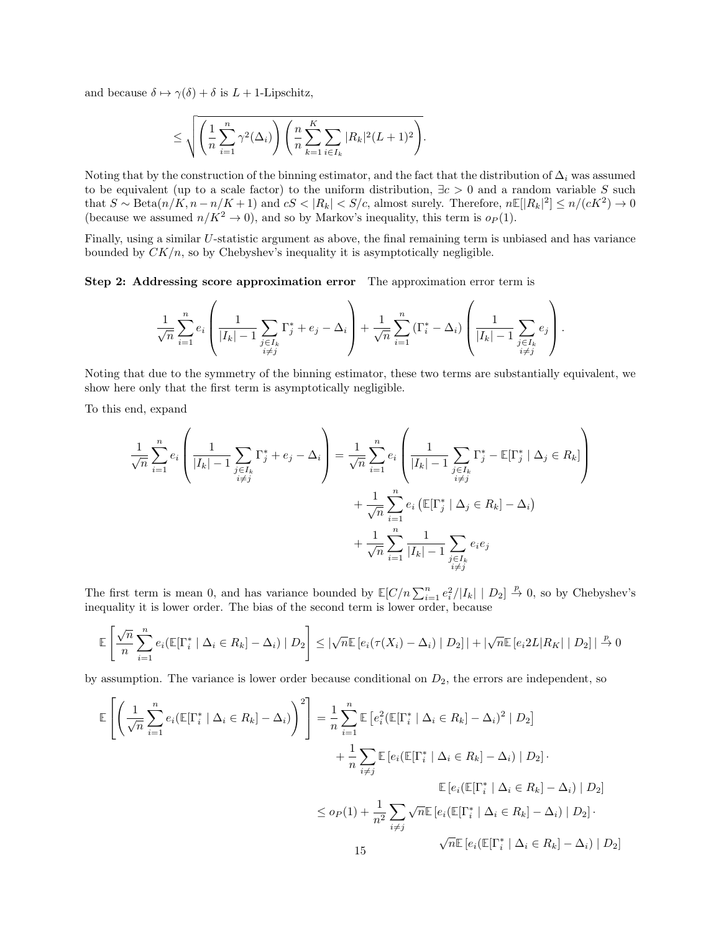and because  $\delta \mapsto \gamma(\delta) + \delta$  is  $L + 1$ -Lipschitz,

$$
\leq \sqrt{\left(\frac{1}{n}\sum_{i=1}^n \gamma^2(\Delta_i)\right)\left(\frac{n}{n}\sum_{k=1}^K\sum_{i\in I_k}|R_k|^2(L+1)^2\right)}.
$$

Noting that by the construction of the binning estimator, and the fact that the distribution of  $\Delta_i$  was assumed to be equivalent (up to a scale factor) to the uniform distribution,  $\exists c > 0$  and a random variable S such that  $S \sim \text{Beta}(n/K, n - n/K + 1)$  and  $cS < |R_k| < S/c$ , almost surely. Therefore,  $n \mathbb{E}[|R_k|^2] \le n/(cK^2) \to 0$ (because we assumed  $n/K^2 \to 0$ ), and so by Markov's inequality, this term is  $o_P(1)$ .

Finally, using a similar U-statistic argument as above, the final remaining term is unbiased and has variance bounded by  $CK/n$ , so by Chebyshev's inequality it is asymptotically negligible.

Step 2: Addressing score approximation error The approximation error term is

$$
\frac{1}{\sqrt{n}}\sum_{i=1}^n e_i\left(\frac{1}{|I_k|-1}\sum_{\substack{j\in I_k\\i\neq j}}\Gamma_j^* + e_j - \Delta_i\right) + \frac{1}{\sqrt{n}}\sum_{i=1}^n\left(\Gamma_i^* - \Delta_i\right)\left(\frac{1}{|I_k|-1}\sum_{\substack{j\in I_k\\i\neq j}}e_j\right).
$$

Noting that due to the symmetry of the binning estimator, these two terms are substantially equivalent, we show here only that the first term is asymptotically negligible.

To this end, expand

$$
\frac{1}{\sqrt{n}} \sum_{i=1}^{n} e_i \left( \frac{1}{|I_k| - 1} \sum_{\substack{j \in I_k \\ i \neq j}} \Gamma_j^* + e_j - \Delta_i \right) = \frac{1}{\sqrt{n}} \sum_{i=1}^{n} e_i \left( \frac{1}{|I_k| - 1} \sum_{\substack{j \in I_k \\ i \neq j}} \Gamma_j^* - \mathbb{E}[\Gamma_j^* \mid \Delta_j \in R_k] \right) + \frac{1}{\sqrt{n}} \sum_{i=1}^{n} e_i \left( \mathbb{E}[\Gamma_j^* \mid \Delta_j \in R_k] - \Delta_i \right) + \frac{1}{\sqrt{n}} \sum_{i=1}^{n} \frac{1}{|I_k| - 1} \sum_{\substack{j \in I_k \\ i \neq j}} e_i e_j
$$

The first term is mean 0, and has variance bounded by  $\mathbb{E}[C/n \sum_{i=1}^{n} e_i^2/|I_k| | D_2] \stackrel{p}{\to} 0$ , so by Chebyshev's inequality it is lower order. The bias of the second term is lower order, because

$$
\mathbb{E}\left[\frac{\sqrt{n}}{n}\sum_{i=1}^{n}e_i(\mathbb{E}[\Gamma_i^* \mid \Delta_i \in R_k] - \Delta_i) \mid D_2\right] \leq |\sqrt{n}\mathbb{E}\left[e_i(\tau(X_i) - \Delta_i) \mid D_2\right]| + |\sqrt{n}\mathbb{E}\left[e_i2L|R_K| \mid D_2\right]| \stackrel{p}{\to} 0
$$

by assumption. The variance is lower order because conditional on  $D_2$ , the errors are independent, so

$$
\mathbb{E}\left[\left(\frac{1}{\sqrt{n}}\sum_{i=1}^{n}e_{i}(\mathbb{E}[\Gamma_{i}^{*} \mid \Delta_{i} \in R_{k}] - \Delta_{i})\right)^{2}\right] = \frac{1}{n}\sum_{i=1}^{n}\mathbb{E}\left[e_{i}^{2}(\mathbb{E}[\Gamma_{i}^{*} \mid \Delta_{i} \in R_{k}] - \Delta_{i})^{2} \mid D_{2}\right] + \frac{1}{n}\sum_{i\neq j}\mathbb{E}\left[e_{i}(\mathbb{E}[\Gamma_{i}^{*} \mid \Delta_{i} \in R_{k}] - \Delta_{i}) \mid D_{2}\right].
$$

$$
\mathbb{E}\left[e_{i}(\mathbb{E}[\Gamma_{i}^{*} \mid \Delta_{i} \in R_{k}] - \Delta_{i}) \mid D_{2}\right]
$$

$$
\leq o_{P}(1) + \frac{1}{n^{2}}\sum_{i\neq j}\sqrt{n}\mathbb{E}\left[e_{i}(\mathbb{E}[\Gamma_{i}^{*} \mid \Delta_{i} \in R_{k}] - \Delta_{i}) \mid D_{2}\right].
$$

$$
\sqrt{n}\mathbb{E}\left[e_{i}(\mathbb{E}[\Gamma_{i}^{*} \mid \Delta_{i} \in R_{k}] - \Delta_{i}) \mid D_{2}\right].
$$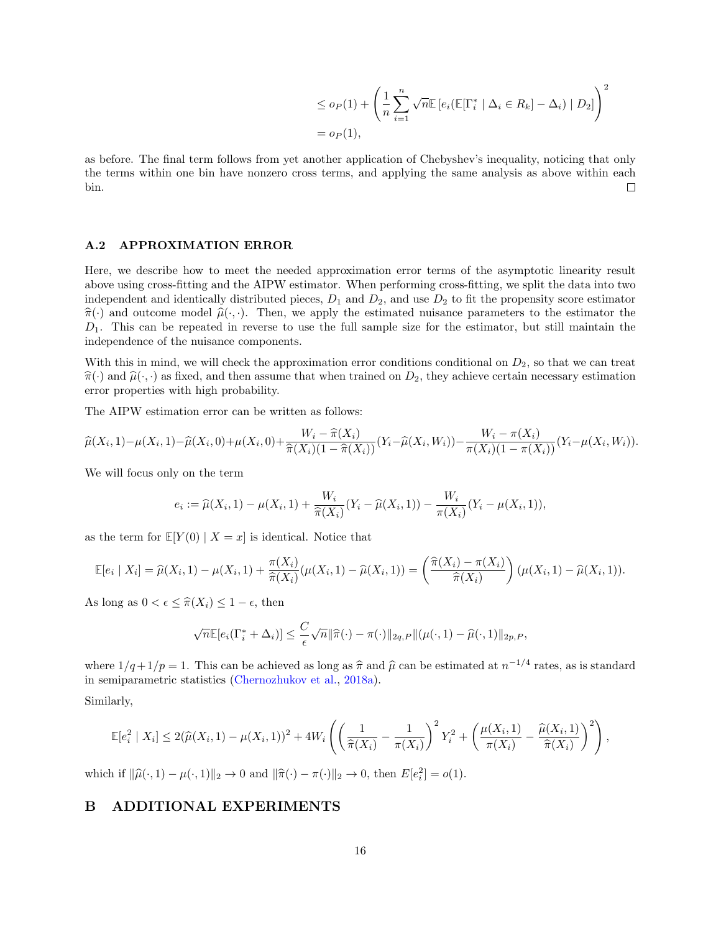$$
\leq o_P(1) + \left(\frac{1}{n}\sum_{i=1}^n \sqrt{n} \mathbb{E}\left[e_i(\mathbb{E}[\Gamma_i^* \mid \Delta_i \in R_k] - \Delta_i) \mid D_2\right]\right)^2
$$
  
=  $o_P(1)$ ,

as before. The final term follows from yet another application of Chebyshev's inequality, noticing that only the terms within one bin have nonzero cross terms, and applying the same analysis as above within each bin.  $\Box$ 

### A.2 APPROXIMATION ERROR

Here, we describe how to meet the needed approximation error terms of the asymptotic linearity result above using cross-fitting and the AIPW estimator. When performing cross-fitting, we split the data into two independent and identically distributed pieces,  $D_1$  and  $D_2$ , and use  $D_2$  to fit the propensity score estimator  $\hat{\pi}(\cdot)$  and outcome model  $\hat{\mu}(\cdot, \cdot)$ . Then, we apply the estimated nuisance parameters to the estimator the  $D_1$ . This can be repeated in reverse to use the full sample size for the estimator, but still maintain the independence of the nuisance components.

With this in mind, we will check the approximation error conditions conditional on  $D_2$ , so that we can treat  $\hat{\pi}(\cdot)$  and  $\hat{\mu}(\cdot, \cdot)$  as fixed, and then assume that when trained on  $D_2$ , they achieve certain necessary estimation error properties with high probability.

The AIPW estimation error can be written as follows:

$$
\widehat{\mu}(X_i,1) - \mu(X_i,1) - \widehat{\mu}(X_i,0) + \mu(X_i,0) + \frac{W_i - \widehat{\pi}(X_i)}{\widehat{\pi}(X_i)(1-\widehat{\pi}(X_i))} (Y_i - \widehat{\mu}(X_i,W_i)) - \frac{W_i - \pi(X_i)}{\pi(X_i)(1-\pi(X_i))} (Y_i - \mu(X_i,W_i)).
$$

We will focus only on the term

$$
e_i := \widehat{\mu}(X_i, 1) - \mu(X_i, 1) + \frac{W_i}{\widehat{\pi}(X_i)}(Y_i - \widehat{\mu}(X_i, 1)) - \frac{W_i}{\pi(X_i)}(Y_i - \mu(X_i, 1)),
$$

as the term for  $\mathbb{E}[Y(0) | X = x]$  is identical. Notice that

$$
\mathbb{E}[e_i | X_i] = \widehat{\mu}(X_i, 1) - \mu(X_i, 1) + \frac{\pi(X_i)}{\widehat{\pi}(X_i)}(\mu(X_i, 1) - \widehat{\mu}(X_i, 1)) = \left(\frac{\widehat{\pi}(X_i) - \pi(X_i)}{\widehat{\pi}(X_i)}\right)(\mu(X_i, 1) - \widehat{\mu}(X_i, 1)).
$$

As long as  $0 < \epsilon \leq \hat{\pi}(X_i) \leq 1 - \epsilon$ , then

$$
\sqrt{n}\mathbb{E}[e_i(\Gamma_i^*+\Delta_i)] \leq \frac{C}{\epsilon}\sqrt{n}\|\widehat{\pi}(\cdot)-\pi(\cdot)\|_{2q,P}\|(\mu(\cdot,1)-\widehat{\mu}(\cdot,1)\|_{2p,P},
$$

where  $1/q + 1/p = 1$ . This can be achieved as long as  $\hat{\pi}$  and  $\hat{\mu}$  can be estimated at  $n^{-1/4}$  rates, as is standard in comparemetric statistics (Charachylev et al. 2018a) in semiparametric statistics [\(Chernozhukov et al.,](#page-8-7) [2018a\)](#page-8-7).

Similarly,

$$
\mathbb{E}[e_i^2 | X_i] \le 2(\widehat{\mu}(X_i, 1) - \mu(X_i, 1))^2 + 4W_i \left( \left( \frac{1}{\widehat{\pi}(X_i)} - \frac{1}{\pi(X_i)} \right)^2 Y_i^2 + \left( \frac{\mu(X_i, 1)}{\pi(X_i)} - \frac{\widehat{\mu}(X_i, 1)}{\widehat{\pi}(X_i)} \right)^2 \right),
$$

which if  $\|\hat{\mu}(\cdot, 1) - \mu(\cdot, 1)\|_2 \to 0$  and  $\|\hat{\pi}(\cdot) - \pi(\cdot)\|_2 \to 0$ , then  $E[e_i^2] = o(1)$ .

# B ADDITIONAL EXPERIMENTS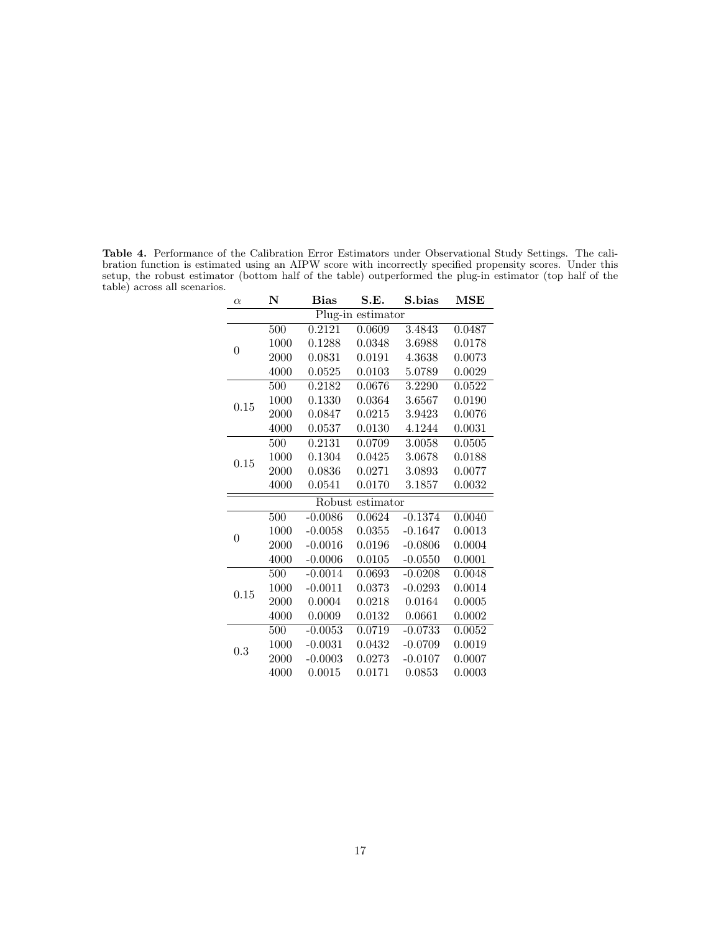Table 4. Performance of the Calibration Error Estimators under Observational Study Settings. The calibration function is estimated using an AIPW score with incorrectly specified propensity scores. Under this setup, the robust estimator (bottom half of the table) outperformed the plug-in estimator (top half of the table) across all scenarios.

| $\alpha$       | N    | S.E.<br>Bias |                   | S.bias    | $\operatorname{MSE}$ |
|----------------|------|--------------|-------------------|-----------|----------------------|
|                |      |              | Plug-in estimator |           |                      |
|                | 500  | 0.2121       | 0.0609            | 3.4843    | 0.0487               |
| $\overline{0}$ | 1000 | 0.1288       | 0.0348            | 3.6988    | 0.0178               |
|                | 2000 | 0.0831       | 0.0191            | 4.3638    | 0.0073               |
|                | 4000 | 0.0525       | 0.0103            | 5.0789    | 0.0029               |
|                | 500  | 0.2182       | 0.0676            | 3.2290    | 0.0522               |
| 0.15           | 1000 | 0.1330       | 0.0364            | 3.6567    | 0.0190               |
|                | 2000 | 0.0847       | 0.0215            | 3.9423    | 0.0076               |
|                | 4000 | 0.0537       | 0.0130            | 4.1244    | 0.0031               |
|                | 500  | 0.2131       | 0.0709            | 3.0058    | 0.0505               |
| 0.15           | 1000 | 0.1304       | 0.0425            | 3.0678    | 0.0188               |
|                | 2000 | 0.0836       | 0.0271            | 3.0893    | 0.0077               |
|                | 4000 | 0.0541       | 0.0170            | 3.1857    | 0.0032               |
|                |      |              | Robust estimator  |           |                      |
|                | 500  | $-0.0086$    | 0.0624            | $-0.1374$ | 0.0040               |
| $\overline{0}$ | 1000 | $-0.0058$    | 0.0355            | $-0.1647$ | 0.0013               |
|                | 2000 | $-0.0016$    | 0.0196            | $-0.0806$ | 0.0004               |
|                | 4000 | $-0.0006$    | 0.0105            | $-0.0550$ | 0.0001               |
|                | 500  | $-0.0014$    | 0.0693            | $-0.0208$ | 0.0048               |
| 0.15           | 1000 | $-0.0011$    | 0.0373            | $-0.0293$ | 0.0014               |
|                | 2000 | 0.0004       | 0.0218            | 0.0164    | 0.0005               |
|                | 4000 | 0.0009       | 0.0132            | 0.0661    | 0.0002               |
|                | 500  | $-0.0053$    | 0.0719            | $-0.0733$ | 0.0052               |
| 0.3            | 1000 | $-0.0031$    | 0.0432            | $-0.0709$ | 0.0019               |
|                | 2000 | $-0.0003$    | 0.0273            | $-0.0107$ | 0.0007               |
|                | 4000 | 0.0015       | 0.0171            | 0.0853    | 0.0003               |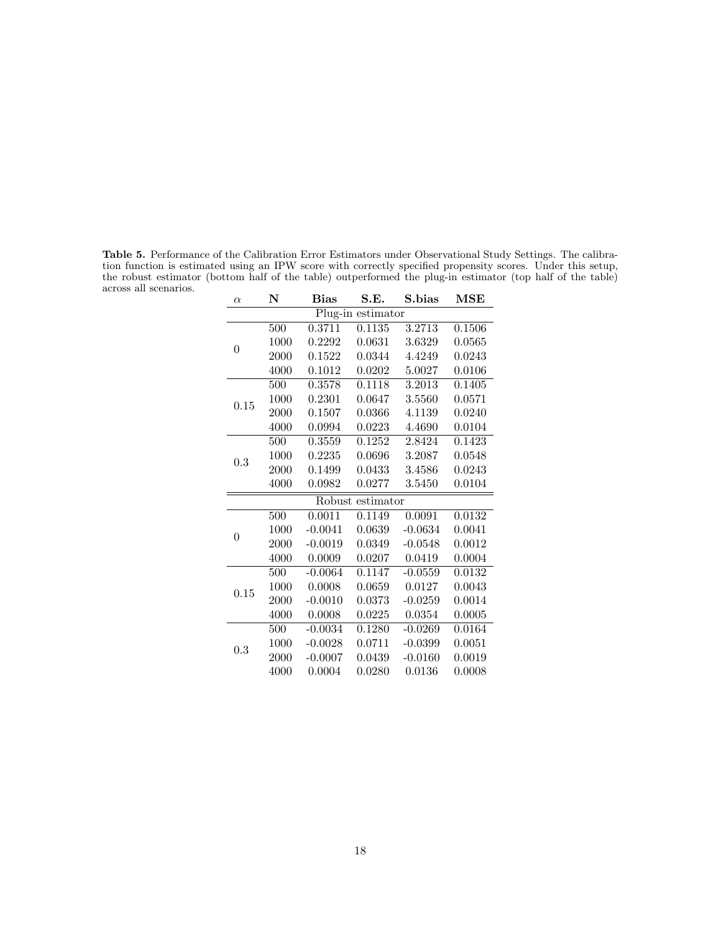Table 5. Performance of the Calibration Error Estimators under Observational Study Settings. The calibration function is estimated using an IPW score with correctly specified propensity scores. Under this setup, the robust estimator (bottom half of the table) outperformed the plug-in estimator (top half of the table) across all scenarios.

| $\alpha$       | N    | <b>Bias</b> | S.E.              | S.bias    | MSE    |
|----------------|------|-------------|-------------------|-----------|--------|
|                |      |             | Plug-in estimator |           |        |
| $\overline{0}$ | 500  | 0.3711      | 0.1135            | 3.2713    | 0.1506 |
|                | 1000 | 0.2292      | 0.0631            | 3.6329    | 0.0565 |
|                | 2000 | 0.1522      | 0.0344            | 4.4249    | 0.0243 |
|                | 4000 | 0.1012      | 0.0202            | 5.0027    | 0.0106 |
|                | 500  | 0.3578      | 0.1118            | 3.2013    | 0.1405 |
| 0.15           | 1000 | 0.2301      | 0.0647            | 3.5560    | 0.0571 |
|                | 2000 | 0.1507      | 0.0366            | 4.1139    | 0.0240 |
|                | 4000 | 0.0994      | 0.0223            | 4.4690    | 0.0104 |
|                | 500  | 0.3559      | 0.1252            | 2.8424    | 0.1423 |
| 0.3            | 1000 | 0.2235      | 0.0696            | 3.2087    | 0.0548 |
|                | 2000 | 0.1499      | 0.0433            | 3.4586    | 0.0243 |
|                | 4000 | 0.0982      | 0.0277            | 3.5450    | 0.0104 |
|                |      |             | Robust estimator  |           |        |
|                | 500  | 0.0011      | 0.1149            | 0.0091    | 0.0132 |
| $\overline{0}$ | 1000 | $-0.0041$   | 0.0639            | $-0.0634$ | 0.0041 |
|                | 2000 | $-0.0019$   | 0.0349            | $-0.0548$ | 0.0012 |
|                | 4000 | 0.0009      | 0.0207            | 0.0419    | 0.0004 |
|                | 500  | $-0.0064$   | 0.1147            | $-0.0559$ | 0.0132 |
| 0.15           | 1000 | 0.0008      | 0.0659            | 0.0127    | 0.0043 |
|                | 2000 | $-0.0010$   | 0.0373            | $-0.0259$ | 0.0014 |
|                | 4000 | 0.0008      | 0.0225            | 0.0354    | 0.0005 |
|                | 500  | $-0.0034$   | 0.1280            | $-0.0269$ | 0.0164 |
| 0.3            | 1000 | $-0.0028$   | 0.0711            | $-0.0399$ | 0.0051 |
|                | 2000 | $-0.0007$   | 0.0439            | $-0.0160$ | 0.0019 |
|                | 4000 | 0.0004      | 0.0280            | 0.0136    | 0.0008 |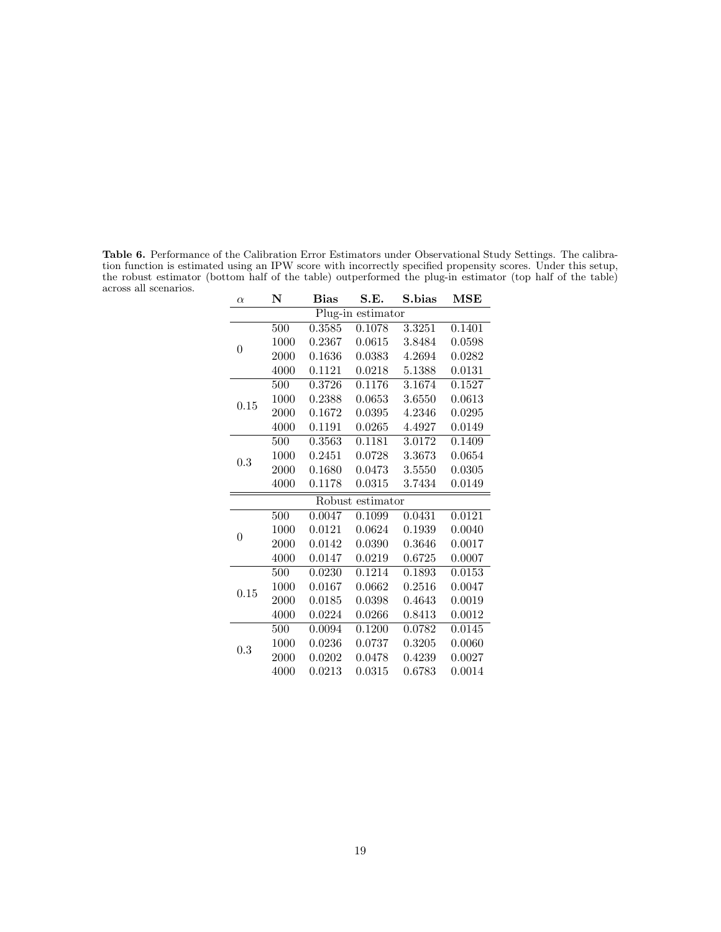Table 6. Performance of the Calibration Error Estimators under Observational Study Settings. The calibration function is estimated using an IPW score with incorrectly specified propensity scores. Under this setup, the robust estimator (bottom half of the table) outperformed the plug-in estimator (top half of the table) across all scenarios.

| $\alpha$       | N                 | $_{\rm Bias}$ | S.E.                | S. bias | $\bf{MSE}$ |  |  |  |
|----------------|-------------------|---------------|---------------------|---------|------------|--|--|--|
|                | Plug-in estimator |               |                     |         |            |  |  |  |
|                | 500               | 0.3585        | 0.1078              | 3.3251  | 0.1401     |  |  |  |
| $\theta$       | 1000              | 0.2367        | 0.0615              | 3.8484  | 0.0598     |  |  |  |
|                | 2000              | 0.1636        | 0.0383              | 4.2694  | 0.0282     |  |  |  |
|                | 4000              | 0.1121        | 0.0218              | 5.1388  | 0.0131     |  |  |  |
|                | 500               | 0.3726        | 0.1176              | 3.1674  | 0.1527     |  |  |  |
| 0.15           | 1000              | 0.2388        | 0.0653              | 3.6550  | 0.0613     |  |  |  |
|                | 2000              | 0.1672        | 0.0395              | 4.2346  | 0.0295     |  |  |  |
|                | 4000              | 0.1191        | 0.0265              | 4.4927  | 0.0149     |  |  |  |
|                | 500               | 0.3563        | 0.1181              | 3.0172  | 0.1409     |  |  |  |
| 0.3            | 1000              | 0.2451        | 0.0728              | 3.3673  | 0.0654     |  |  |  |
|                | 2000              | 0.1680        | 0.0473              | 3.5550  | 0.0305     |  |  |  |
|                | 4000              | 0.1178        | 0.0315              | 3.7434  | 0.0149     |  |  |  |
|                |                   |               | Robust estimator    |         |            |  |  |  |
|                | 500               | 0.0047        | 0.1099              | 0.0431  | 0.0121     |  |  |  |
| $\overline{0}$ | 1000              | 0.0121        | 0.0624              | 0.1939  | 0.0040     |  |  |  |
|                | 2000              | 0.0142        | 0.0390              | 0.3646  | 0.0017     |  |  |  |
|                | 4000              | 0.0147        | 0.0219              | 0.6725  | 0.0007     |  |  |  |
|                | $\overline{500}$  | 0.0230        | $\overline{0.1214}$ | 0.1893  | 0.0153     |  |  |  |
| 0.15           | 1000              | 0.0167        | 0.0662              | 0.2516  | 0.0047     |  |  |  |
|                | 2000              | 0.0185        | 0.0398              | 0.4643  | 0.0019     |  |  |  |
|                | 4000              | 0.0224        | 0.0266              | 0.8413  | 0.0012     |  |  |  |
|                | 500               | 0.0094        | 0.1200              | 0.0782  | 0.0145     |  |  |  |
| 0.3            | 1000              | 0.0236        | 0.0737              | 0.3205  | 0.0060     |  |  |  |
|                | 2000              | 0.0202        | 0.0478              | 0.4239  | 0.0027     |  |  |  |
|                | 4000              | 0.0213        | 0.0315              | 0.6783  | 0.0014     |  |  |  |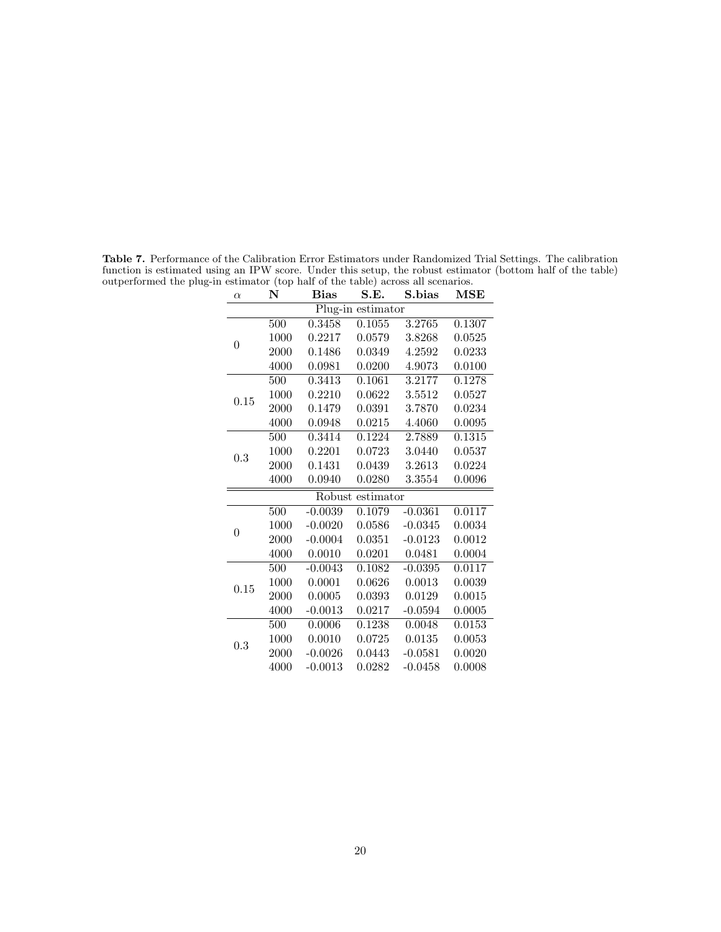| $\alpha$          | N    | Bias      | S.E.      | S.bias    | $\operatorname{MSE}$ |  |  |  |
|-------------------|------|-----------|-----------|-----------|----------------------|--|--|--|
| Plug-in estimator |      |           |           |           |                      |  |  |  |
|                   | 500  | 0.3458    | 0.1055    | 3.2765    | 0.1307               |  |  |  |
| $\overline{0}$    | 1000 | 0.2217    | 0.0579    | 3.8268    | 0.0525               |  |  |  |
|                   | 2000 | 0.1486    | 0.0349    | 4.2592    | 0.0233               |  |  |  |
|                   | 4000 | 0.0981    | 0.0200    | 4.9073    | 0.0100               |  |  |  |
|                   | 500  | 0.3413    | 0.1061    | 3.2177    | 0.1278               |  |  |  |
| 0.15              | 1000 | 0.2210    | 0.0622    | 3.5512    | 0.0527               |  |  |  |
|                   | 2000 | 0.1479    | 0.0391    | 3.7870    | 0.0234               |  |  |  |
|                   | 4000 | 0.0948    | 0.0215    | 4.4060    | 0.0095               |  |  |  |
|                   | 500  | 0.3414    | 0.1224    | 2.7889    | 0.1315               |  |  |  |
| 0.3               | 1000 | 0.2201    | 0.0723    | 3.0440    | 0.0537               |  |  |  |
|                   | 2000 | 0.1431    | 0.0439    | 3.2613    | 0.0224               |  |  |  |
|                   | 4000 | 0.0940    | 0.0280    | 3.3554    | 0.0096               |  |  |  |
|                   |      | Robust    | estimator |           |                      |  |  |  |
|                   | 500  | $-0.0039$ | 0.1079    | $-0.0361$ | 0.0117               |  |  |  |
| $\boldsymbol{0}$  | 1000 | $-0.0020$ | 0.0586    | $-0.0345$ | 0.0034               |  |  |  |
|                   | 2000 | $-0.0004$ | 0.0351    | $-0.0123$ | 0.0012               |  |  |  |
|                   | 4000 | 0.0010    | 0.0201    | 0.0481    | 0.0004               |  |  |  |
|                   | 500  | $-0.0043$ | 0.1082    | $-0.0395$ | 0.0117               |  |  |  |
| 0.15              | 1000 | 0.0001    | 0.0626    | 0.0013    | 0.0039               |  |  |  |
|                   | 2000 | 0.0005    | 0.0393    | 0.0129    | 0.0015               |  |  |  |
|                   | 4000 | $-0.0013$ | 0.0217    | $-0.0594$ | 0.0005               |  |  |  |
|                   | 500  | 0.0006    | 0.1238    | 0.0048    | 0.0153               |  |  |  |
| 0.3               | 1000 | 0.0010    | 0.0725    | 0.0135    | 0.0053               |  |  |  |
|                   | 2000 | $-0.0026$ | 0.0443    | $-0.0581$ | 0.0020               |  |  |  |
|                   | 4000 | $-0.0013$ | 0.0282    | $-0.0458$ | 0.0008               |  |  |  |

Table 7. Performance of the Calibration Error Estimators under Randomized Trial Settings. The calibration function is estimated using an IPW score. Under this setup, the robust estimator (bottom half of the table) outperformed the plug-in estimator (top half of the table) across all scenarios.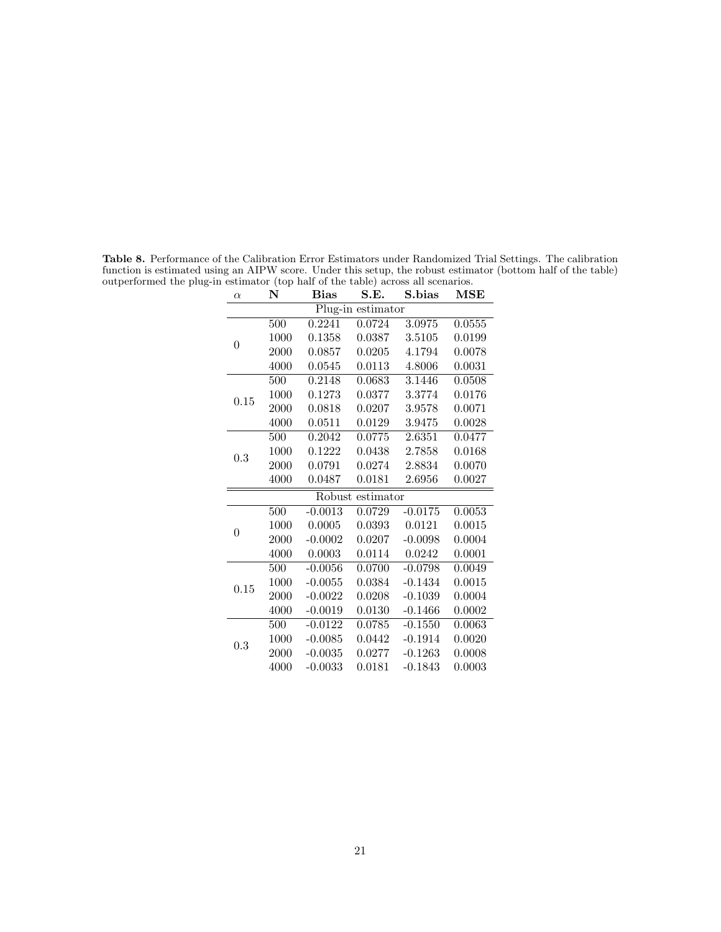| $\alpha$       | N<br><b>Bias</b> |           | S.E.              | S.bias    | <b>MSE</b> |
|----------------|------------------|-----------|-------------------|-----------|------------|
|                |                  |           | Plug-in estimator |           |            |
|                | 500              | 0.2241    | 0.0724            | 3.0975    | 0.0555     |
| $\theta$       | 1000             | 0.1358    | 0.0387            | 3.5105    | 0.0199     |
|                | 2000             | 0.0857    | 0.0205            | 4.1794    | 0.0078     |
|                | 4000             | 0.0545    | 0.0113            | 4.8006    | 0.0031     |
|                | $\overline{500}$ | 0.2148    | 0.0683            | 3.1446    | 0.0508     |
| 0.15           | 1000             | 0.1273    | 0.0377            | 3.3774    | 0.0176     |
|                | 2000             | 0.0818    | 0.0207            | 3.9578    | 0.0071     |
|                | 4000             | 0.0511    | 0.0129            | 3.9475    | 0.0028     |
|                | 500              | 0.2042    | 0.0775            | 2.6351    | 0.0477     |
| 0.3            | 1000             | 0.1222    | 0.0438            | 2.7858    | 0.0168     |
|                | 2000             | 0.0791    | 0.0274            | 2.8834    | 0.0070     |
|                | 4000             | 0.0487    | 0.0181            | 2.6956    | 0.0027     |
|                |                  |           | Robust estimator  |           |            |
|                | 500              | $-0.0013$ | 0.0729            | $-0.0175$ | 0.0053     |
| $\overline{0}$ | 1000             | 0.0005    | 0.0393            | 0.0121    | 0.0015     |
|                | 2000             | $-0.0002$ | 0.0207            | $-0.0098$ | 0.0004     |
|                | 4000             | 0.0003    | 0.0114            | 0.0242    | 0.0001     |
|                | 500              | $-0.0056$ | 0.0700            | $-0.0798$ | 0.0049     |
| 0.15           | 1000             | $-0.0055$ | 0.0384            | $-0.1434$ | 0.0015     |
|                | 2000             | $-0.0022$ | 0.0208            | $-0.1039$ | 0.0004     |
|                | 4000             | $-0.0019$ | 0.0130            | $-0.1466$ | 0.0002     |
|                | 500              | $-0.0122$ | 0.0785            | $-0.1550$ | 0.0063     |
| 0.3            | 1000             | $-0.0085$ | 0.0442            | $-0.1914$ | 0.0020     |
|                | 2000             | $-0.0035$ | 0.0277            | $-0.1263$ | 0.0008     |
|                | 4000             | $-0.0033$ | 0.0181            | $-0.1843$ | 0.0003     |

Table 8. Performance of the Calibration Error Estimators under Randomized Trial Settings. The calibration function is estimated using an AIPW score. Under this setup, the robust estimator (bottom half of the table) outperformed the plug-in estimator (top half of the table) across all scenarios.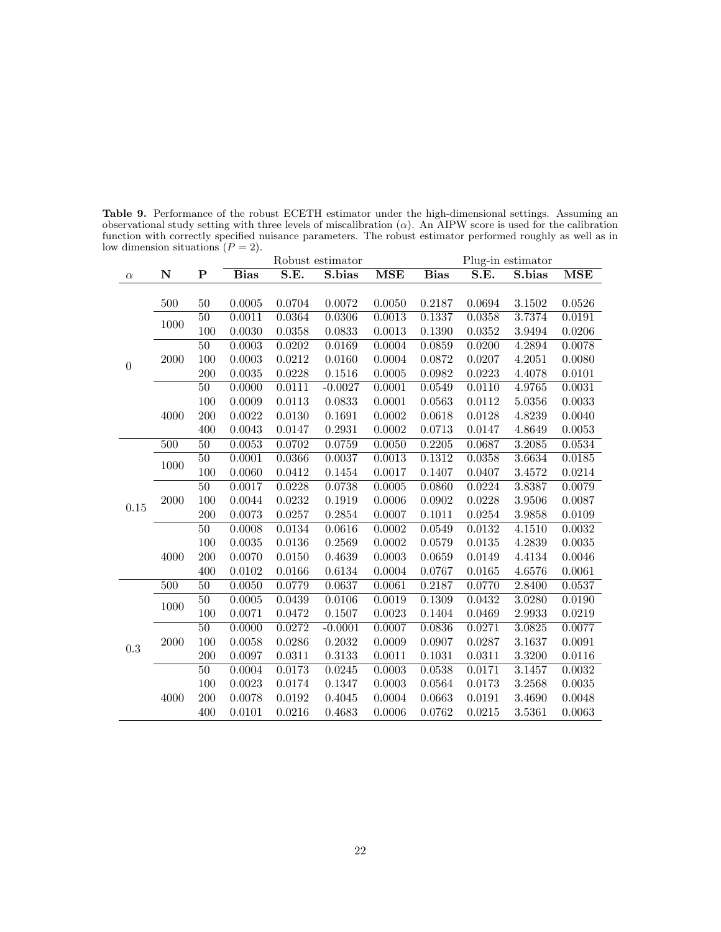|                  |      |                 |             |                          | Robust estimator |                         |             |        | Plug-in estimator |            |
|------------------|------|-----------------|-------------|--------------------------|------------------|-------------------------|-------------|--------|-------------------|------------|
| $\alpha$         | N    | ${\bf P}$       | <b>Bias</b> | $\overline{\text{S.E.}}$ | S.bias           | $\overline{\text{MSE}}$ | <b>Bias</b> | S.E.   | S.bias            | <b>MSE</b> |
|                  |      |                 |             |                          |                  |                         |             |        |                   |            |
|                  | 500  | 50              | 0.0005      | 0.0704                   | 0.0072           | 0.0050                  | 0.2187      | 0.0694 | 3.1502            | 0.0526     |
|                  | 1000 | $\overline{50}$ | 0.0011      | 0.0364                   | 0.0306           | 0.0013                  | 0.1337      | 0.0358 | 3.7374            | 0.0191     |
|                  |      | 100             | 0.0030      | 0.0358                   | 0.0833           | 0.0013                  | 0.1390      | 0.0352 | 3.9494            | 0.0206     |
|                  |      | 50              | 0.0003      | 0.0202                   | 0.0169           | 0.0004                  | 0.0859      | 0.0200 | 4.2894            | 0.0078     |
| $\boldsymbol{0}$ | 2000 | 100             | 0.0003      | 0.0212                   | 0.0160           | 0.0004                  | 0.0872      | 0.0207 | 4.2051            | 0.0080     |
|                  |      | 200             | 0.0035      | 0.0228                   | 0.1516           | 0.0005                  | 0.0982      | 0.0223 | 4.4078            | 0.0101     |
|                  |      | $\overline{50}$ | 0.0000      | 0.0111                   | $-0.0027$        | 0.0001                  | 0.0549      | 0.0110 | 4.9765            | 0.0031     |
|                  |      | 100             | 0.0009      | 0.0113                   | 0.0833           | 0.0001                  | 0.0563      | 0.0112 | 5.0356            | 0.0033     |
|                  | 4000 | 200             | 0.0022      | 0.0130                   | 0.1691           | 0.0002                  | 0.0618      | 0.0128 | 4.8239            | 0.0040     |
|                  |      | 400             | 0.0043      | 0.0147                   | 0.2931           | 0.0002                  | 0.0713      | 0.0147 | 4.8649            | 0.0053     |
|                  | 500  | 50              | 0.0053      | 0.0702                   | 0.0759           | 0.0050                  | 0.2205      | 0.0687 | 3.2085            | 0.0534     |
|                  | 1000 | $\overline{50}$ | 0.0001      | 0.0366                   | 0.0037           | 0.0013                  | 0.1312      | 0.0358 | 3.6634            | 0.0185     |
|                  |      | 100             | 0.0060      | 0.0412                   | 0.1454           | 0.0017                  | 0.1407      | 0.0407 | 3.4572            | 0.0214     |
|                  |      | $\overline{50}$ | 0.0017      | 0.0228                   | 0.0738           | 0.0005                  | 0.0860      | 0.0224 | 3.8387            | 0.0079     |
| 0.15             | 2000 | 100             | 0.0044      | 0.0232                   | 0.1919           | 0.0006                  | 0.0902      | 0.0228 | 3.9506            | 0.0087     |
|                  |      | 200             | 0.0073      | 0.0257                   | 0.2854           | 0.0007                  | 0.1011      | 0.0254 | 3.9858            | 0.0109     |
|                  |      | $\overline{50}$ | 0.0008      | 0.0134                   | 0.0616           | 0.0002                  | 0.0549      | 0.0132 | 4.1510            | 0.0032     |
|                  |      | 100             | 0.0035      | 0.0136                   | 0.2569           | 0.0002                  | 0.0579      | 0.0135 | 4.2839            | 0.0035     |
|                  | 4000 | 200             | 0.0070      | 0.0150                   | 0.4639           | 0.0003                  | 0.0659      | 0.0149 | 4.4134            | 0.0046     |
|                  |      | 400             | 0.0102      | 0.0166                   | 0.6134           | 0.0004                  | 0.0767      | 0.0165 | 4.6576            | 0.0061     |
|                  | 500  | $\overline{50}$ | 0.0050      | 0.0779                   | 0.0637           | 0.0061                  | 0.2187      | 0.0770 | 2.8400            | 0.0537     |
|                  | 1000 | 50              | 0.0005      | 0.0439                   | 0.0106           | 0.0019                  | 0.1309      | 0.0432 | 3.0280            | 0.0190     |
|                  |      | 100             | 0.0071      | 0.0472                   | 0.1507           | 0.0023                  | 0.1404      | 0.0469 | 2.9933            | 0.0219     |
|                  |      | $\overline{50}$ | 0.0000      | 0.0272                   | $-0.0001$        | 0.0007                  | 0.0836      | 0.0271 | 3.0825            | 0.0077     |
| 0.3              | 2000 | 100             | 0.0058      | 0.0286                   | 0.2032           | 0.0009                  | 0.0907      | 0.0287 | 3.1637            | 0.0091     |
|                  |      | 200             | 0.0097      | 0.0311                   | 0.3133           | 0.0011                  | 0.1031      | 0.0311 | 3.3200            | 0.0116     |
|                  |      | $\overline{50}$ | 0.0004      | 0.0173                   | 0.0245           | 0.0003                  | 0.0538      | 0.0171 | 3.1457            | 0.0032     |
|                  |      | 100             | 0.0023      | 0.0174                   | 0.1347           | 0.0003                  | 0.0564      | 0.0173 | 3.2568            | 0.0035     |
|                  | 4000 | 200             | 0.0078      | 0.0192                   | 0.4045           | 0.0004                  | 0.0663      | 0.0191 | 3.4690            | 0.0048     |
|                  |      | 400             | 0.0101      | 0.0216                   | 0.4683           | 0.0006                  | 0.0762      | 0.0215 | 3.5361            | 0.0063     |

Table 9. Performance of the robust ECETH estimator under the high-dimensional settings. Assuming an observational study setting with three levels of miscalibration  $(\alpha)$ . An AIPW score is used for the calibration function with correctly specified nuisance parameters. The robust estimator performed roughly as well as in low dimension situations  $(P = 2)$ .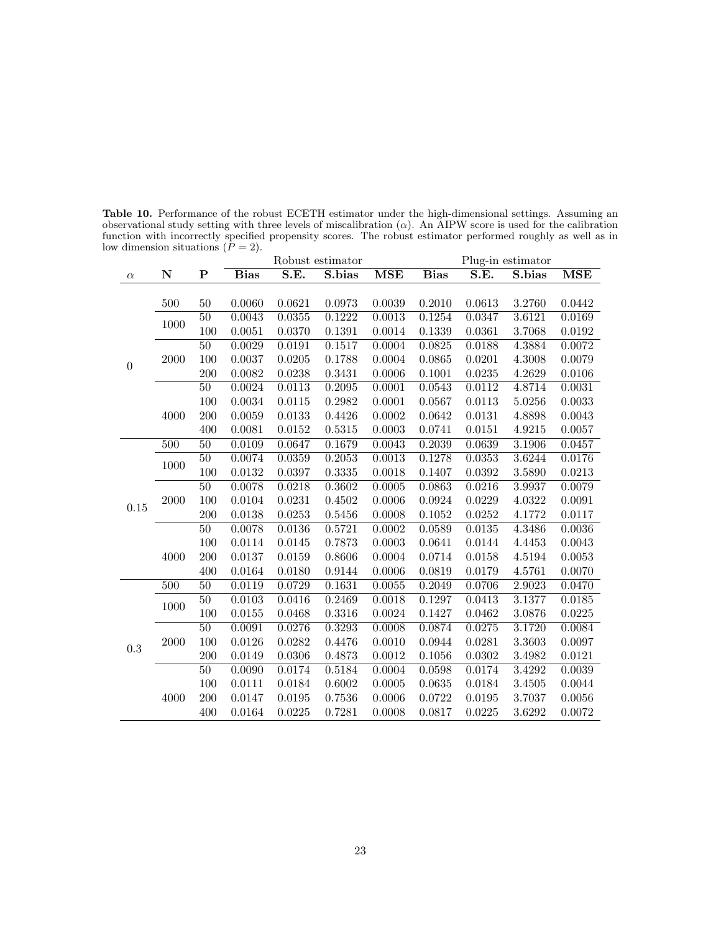|                  |             |                 |             |                          | Robust estimator |                         |             |        | Plug-in estimator |                         |
|------------------|-------------|-----------------|-------------|--------------------------|------------------|-------------------------|-------------|--------|-------------------|-------------------------|
| $\alpha$         | $\mathbf N$ | ${\bf P}$       | <b>Bias</b> | $\overline{\text{S.E.}}$ | S.bias           | $\overline{\text{MSE}}$ | <b>Bias</b> | S.E.   | S.bias            | $\overline{\text{MSE}}$ |
|                  |             |                 |             |                          |                  |                         |             |        |                   |                         |
|                  | 500         | 50              | 0.0060      | 0.0621                   | 0.0973           | 0.0039                  | 0.2010      | 0.0613 | 3.2760            | 0.0442                  |
|                  | 1000        | $\overline{50}$ | 0.0043      | 0.0355                   | 0.1222           | 0.0013                  | 0.1254      | 0.0347 | 3.6121            | 0.0169                  |
|                  |             | 100             | 0.0051      | 0.0370                   | 0.1391           | 0.0014                  | 0.1339      | 0.0361 | 3.7068            | 0.0192                  |
|                  |             | $\overline{50}$ | 0.0029      | 0.0191                   | 0.1517           | 0.0004                  | 0.0825      | 0.0188 | 4.3884            | 0.0072                  |
| $\boldsymbol{0}$ | 2000        | 100             | 0.0037      | 0.0205                   | 0.1788           | 0.0004                  | 0.0865      | 0.0201 | 4.3008            | 0.0079                  |
|                  |             | 200             | 0.0082      | 0.0238                   | 0.3431           | 0.0006                  | 0.1001      | 0.0235 | 4.2629            | 0.0106                  |
|                  |             | $\overline{50}$ | 0.0024      | 0.0113                   | 0.2095           | 0.0001                  | 0.0543      | 0.0112 | 4.8714            | 0.0031                  |
|                  |             | 100             | 0.0034      | 0.0115                   | 0.2982           | 0.0001                  | 0.0567      | 0.0113 | 5.0256            | 0.0033                  |
|                  | 4000        | 200             | 0.0059      | $\,0.0133\,$             | 0.4426           | 0.0002                  | 0.0642      | 0.0131 | 4.8898            | 0.0043                  |
|                  |             | 400             | 0.0081      | 0.0152                   | 0.5315           | 0.0003                  | 0.0741      | 0.0151 | 4.9215            | 0.0057                  |
|                  | 500         | 50              | 0.0109      | 0.0647                   | 0.1679           | 0.0043                  | 0.2039      | 0.0639 | 3.1906            | 0.0457                  |
|                  | 1000        | $\overline{50}$ | 0.0074      | 0.0359                   | 0.2053           | 0.0013                  | 0.1278      | 0.0353 | 3.6244            | 0.0176                  |
|                  |             | 100             | 0.0132      | 0.0397                   | 0.3335           | 0.0018                  | 0.1407      | 0.0392 | 3.5890            | 0.0213                  |
|                  |             | $\overline{50}$ | 0.0078      | 0.0218                   | 0.3602           | 0.0005                  | 0.0863      | 0.0216 | 3.9937            | 0.0079                  |
| $0.15\,$         | 2000        | 100             | 0.0104      | 0.0231                   | 0.4502           | 0.0006                  | 0.0924      | 0.0229 | 4.0322            | 0.0091                  |
|                  |             | 200             | 0.0138      | 0.0253                   | 0.5456           | 0.0008                  | 0.1052      | 0.0252 | 4.1772            | 0.0117                  |
|                  |             | $\overline{50}$ | 0.0078      | 0.0136                   | 0.5721           | 0.0002                  | 0.0589      | 0.0135 | 4.3486            | 0.0036                  |
|                  |             | 100             | 0.0114      | 0.0145                   | 0.7873           | 0.0003                  | 0.0641      | 0.0144 | 4.4453            | 0.0043                  |
|                  | 4000        | 200             | 0.0137      | 0.0159                   | 0.8606           | 0.0004                  | 0.0714      | 0.0158 | 4.5194            | 0.0053                  |
|                  |             | 400             | 0.0164      | 0.0180                   | 0.9144           | 0.0006                  | 0.0819      | 0.0179 | 4.5761            | 0.0070                  |
|                  | 500         | $\overline{50}$ | 0.0119      | 0.0729                   | 0.1631           | 0.0055                  | 0.2049      | 0.0706 | 2.9023            | 0.0470                  |
|                  | 1000        | 50              | 0.0103      | 0.0416                   | 0.2469           | 0.0018                  | 0.1297      | 0.0413 | 3.1377            | 0.0185                  |
|                  |             | 100             | 0.0155      | 0.0468                   | 0.3316           | 0.0024                  | 0.1427      | 0.0462 | 3.0876            | 0.0225                  |
|                  |             | $\overline{50}$ | 0.0091      | 0.0276                   | 0.3293           | 0.0008                  | 0.0874      | 0.0275 | 3.1720            | 0.0084                  |
| 0.3              | 2000        | 100             | 0.0126      | 0.0282                   | 0.4476           | 0.0010                  | 0.0944      | 0.0281 | 3.3603            | 0.0097                  |
|                  |             | 200             | 0.0149      | 0.0306                   | 0.4873           | 0.0012                  | 0.1056      | 0.0302 | 3.4982            | 0.0121                  |
|                  |             | $\overline{50}$ | 0.0090      | 0.0174                   | 0.5184           | 0.0004                  | 0.0598      | 0.0174 | 3.4292            | 0.0039                  |
|                  |             | 100             | 0.0111      | 0.0184                   | 0.6002           | 0.0005                  | 0.0635      | 0.0184 | 3.4505            | 0.0044                  |
|                  | 4000        | 200             | 0.0147      | 0.0195                   | 0.7536           | 0.0006                  | 0.0722      | 0.0195 | 3.7037            | 0.0056                  |
|                  |             | 400             | 0.0164      | 0.0225                   | 0.7281           | 0.0008                  | 0.0817      | 0.0225 | 3.6292            | 0.0072                  |

Table 10. Performance of the robust ECETH estimator under the high-dimensional settings. Assuming an observational study setting with three levels of miscalibration  $(\alpha)$ . An AIPW score is used for the calibration function with incorrectly specified propensity scores. The robust estimator performed roughly as well as in low dimension situations  $(P = 2)$ .